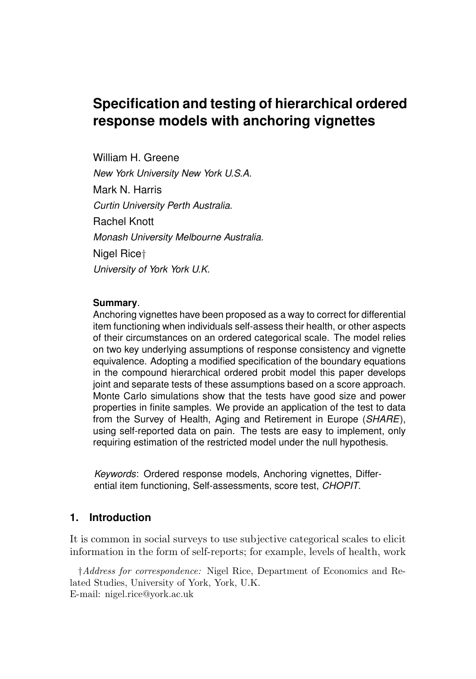# **Specification and testing of hierarchical ordered response models with anchoring vignettes**

William H. Greene *New York University New York U.S.A.* Mark N. Harris *Curtin University Perth Australia.* Rachel Knott *Monash University Melbourne Australia.* Nigel Rice† *University of York York U.K.*

### **Summary**.

Anchoring vignettes have been proposed as a way to correct for differential item functioning when individuals self-assess their health, or other aspects of their circumstances on an ordered categorical scale. The model relies on two key underlying assumptions of response consistency and vignette equivalence. Adopting a modified specification of the boundary equations in the compound hierarchical ordered probit model this paper develops joint and separate tests of these assumptions based on a score approach. Monte Carlo simulations show that the tests have good size and power properties in finite samples. We provide an application of the test to data from the Survey of Health, Aging and Retirement in Europe (*SHARE*), using self-reported data on pain. The tests are easy to implement, only requiring estimation of the restricted model under the null hypothesis.

*Keywords*: Ordered response models, Anchoring vignettes, Differential item functioning, Self-assessments, score test, *CHOPIT*.

### **1. Introduction**

It is common in social surveys to use subjective categorical scales to elicit information in the form of self-reports; for example, levels of health, work

†Address for correspondence: Nigel Rice, Department of Economics and Related Studies, University of York, York, U.K. E-mail: nigel.rice@york.ac.uk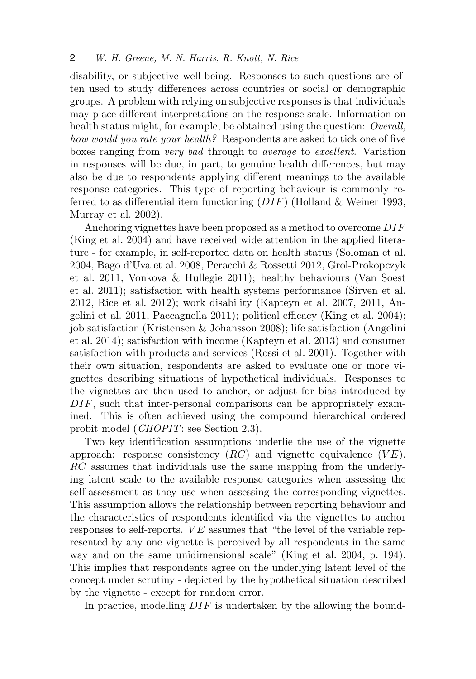disability, or subjective well-being. Responses to such questions are often used to study differences across countries or social or demographic groups. A problem with relying on subjective responses is that individuals may place different interpretations on the response scale. Information on health status might, for example, be obtained using the question: *Overall*, how would you rate your health? Respondents are asked to tick one of five boxes ranging from very bad through to average to excellent. Variation in responses will be due, in part, to genuine health differences, but may also be due to respondents applying different meanings to the available response categories. This type of reporting behaviour is commonly referred to as differential item functioning  $(DIF)$  (Holland & Weiner 1993, Murray et al. 2002).

Anchoring vignettes have been proposed as a method to overcome DIF (King et al. 2004) and have received wide attention in the applied literature - for example, in self-reported data on health status (Soloman et al. 2004, Bago d'Uva et al. 2008, Peracchi & Rossetti 2012, Grol-Prokopczyk et al. 2011, Vonkova & Hullegie 2011); healthy behaviours (Van Soest et al. 2011); satisfaction with health systems performance (Sirven et al. 2012, Rice et al. 2012); work disability (Kapteyn et al. 2007, 2011, Angelini et al. 2011, Paccagnella 2011); political efficacy (King et al. 2004); job satisfaction (Kristensen & Johansson 2008); life satisfaction (Angelini et al. 2014); satisfaction with income (Kapteyn et al. 2013) and consumer satisfaction with products and services (Rossi et al. 2001). Together with their own situation, respondents are asked to evaluate one or more vignettes describing situations of hypothetical individuals. Responses to the vignettes are then used to anchor, or adjust for bias introduced by DIF, such that inter-personal comparisons can be appropriately examined. This is often achieved using the compound hierarchical ordered probit model (*CHOPIT*: see Section 2.3).

Two key identification assumptions underlie the use of the vignette approach: response consistency  $(RC)$  and vignette equivalence  $(VE)$ . RC assumes that individuals use the same mapping from the underlying latent scale to the available response categories when assessing the self-assessment as they use when assessing the corresponding vignettes. This assumption allows the relationship between reporting behaviour and the characteristics of respondents identified via the vignettes to anchor responses to self-reports.  $VE$  assumes that "the level of the variable represented by any one vignette is perceived by all respondents in the same way and on the same unidimensional scale" (King et al. 2004, p. 194). This implies that respondents agree on the underlying latent level of the concept under scrutiny - depicted by the hypothetical situation described by the vignette - except for random error.

In practice, modelling DIF is undertaken by the allowing the bound-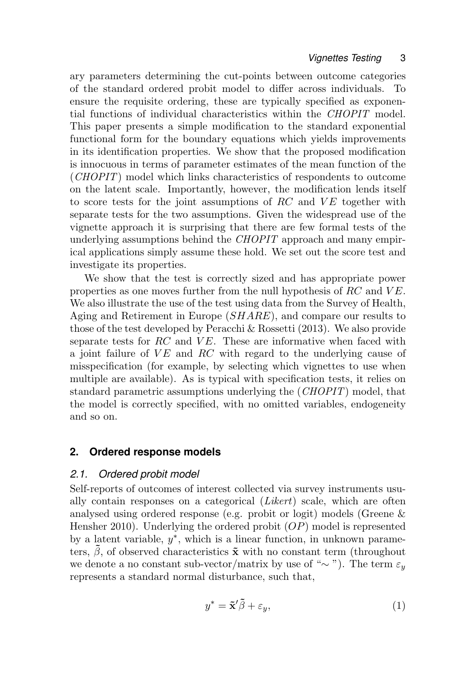ary parameters determining the cut-points between outcome categories of the standard ordered probit model to differ across individuals. To ensure the requisite ordering, these are typically specified as exponential functions of individual characteristics within the CHOPIT model. This paper presents a simple modification to the standard exponential functional form for the boundary equations which yields improvements in its identification properties. We show that the proposed modification is innocuous in terms of parameter estimates of the mean function of the (CHOPIT) model which links characteristics of respondents to outcome on the latent scale. Importantly, however, the modification lends itself to score tests for the joint assumptions of RC and  $VE$  together with separate tests for the two assumptions. Given the widespread use of the vignette approach it is surprising that there are few formal tests of the underlying assumptions behind the *CHOPIT* approach and many empirical applications simply assume these hold. We set out the score test and investigate its properties.

We show that the test is correctly sized and has appropriate power properties as one moves further from the null hypothesis of  $RC$  and  $VE$ . We also illustrate the use of the test using data from the Survey of Health, Aging and Retirement in Europe (SHARE), and compare our results to those of the test developed by Peracchi & Rossetti (2013). We also provide separate tests for  $RC$  and  $VE$ . These are informative when faced with a joint failure of  $VE$  and  $RC$  with regard to the underlying cause of misspecification (for example, by selecting which vignettes to use when multiple are available). As is typical with specification tests, it relies on standard parametric assumptions underlying the (CHOPIT) model, that the model is correctly specified, with no omitted variables, endogeneity and so on.

### **2. Ordered response models**

### *2.1. Ordered probit model*

Self-reports of outcomes of interest collected via survey instruments usually contain responses on a categorical (Likert) scale, which are often analysed using ordered response (e.g. probit or logit) models (Greene & Hensher 2010). Underlying the ordered probit  $OP$  model is represented by a latent variable,  $y^*$ , which is a linear function, in unknown parameters,  $\beta$ , of observed characteristics  $\tilde{\mathbf{x}}$  with no constant term (throughout we denote a no constant sub-vector/matrix by use of "∼"). The term  $\varepsilon_y$ represents a standard normal disturbance, such that,

$$
y^* = \tilde{\mathbf{x}}'\tilde{\beta} + \varepsilon_y,\tag{1}
$$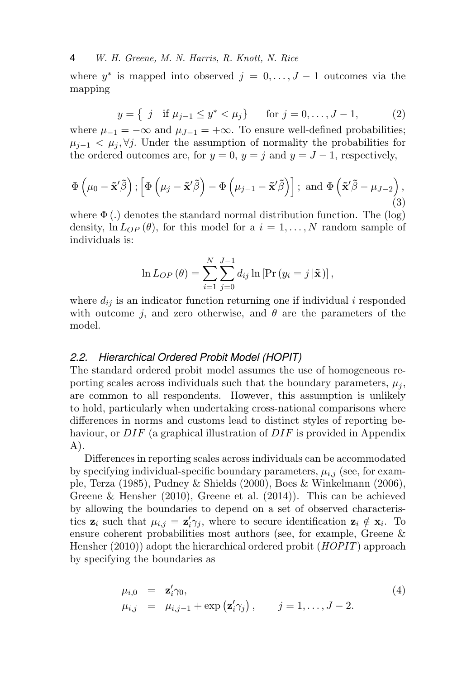where  $y^*$  is mapped into observed  $j = 0, \ldots, J-1$  outcomes via the mapping

$$
y = \{ j \text{ if } \mu_{j-1} \le y^* < \mu_j \} \quad \text{for } j = 0, \dots, J-1,
$$
 (2)

where  $\mu_{-1} = -\infty$  and  $\mu_{J-1} = +\infty$ . To ensure well-defined probabilities;  $\mu_{i-1} < \mu_i, \forall j$ . Under the assumption of normality the probabilities for the ordered outcomes are, for  $y = 0$ ,  $y = j$  and  $y = J - 1$ , respectively,

$$
\Phi\left(\mu_0 - \tilde{\mathbf{x}}'\tilde{\beta}\right); \left[\Phi\left(\mu_j - \tilde{\mathbf{x}}'\tilde{\beta}\right) - \Phi\left(\mu_{j-1} - \tilde{\mathbf{x}}'\tilde{\beta}\right)\right]; \text{ and } \Phi\left(\tilde{\mathbf{x}}'\tilde{\beta} - \mu_{J-2}\right),\tag{3}
$$

where  $\Phi(.)$  denotes the standard normal distribution function. The (log) density,  $\ln L_{OP}(\theta)$ , for this model for a  $i = 1, ..., N$  random sample of individuals is:

$$
\ln L_{OP}(\theta) = \sum_{i=1}^{N} \sum_{j=0}^{J-1} d_{ij} \ln \left[ \Pr(y_i = j \, | \tilde{\mathbf{x}}) \right],
$$

where  $d_{ij}$  is an indicator function returning one if individual i responded with outcome j, and zero otherwise, and  $\theta$  are the parameters of the model.

#### *2.2. Hierarchical Ordered Probit Model (HOPIT)*

The standard ordered probit model assumes the use of homogeneous reporting scales across individuals such that the boundary parameters,  $\mu_i$ , are common to all respondents. However, this assumption is unlikely to hold, particularly when undertaking cross-national comparisons where differences in norms and customs lead to distinct styles of reporting behaviour, or  $DIF$  (a graphical illustration of  $DIF$  is provided in Appendix A).

Differences in reporting scales across individuals can be accommodated by specifying individual-specific boundary parameters,  $\mu_{i,j}$  (see, for example, Terza (1985), Pudney & Shields (2000), Boes & Winkelmann (2006), Greene & Hensher (2010), Greene et al. (2014)). This can be achieved by allowing the boundaries to depend on a set of observed characteristics  $z_i$  such that  $\mu_{i,j} = z'_i \gamma_j$ , where to secure identification  $z_i \notin x_i$ . To ensure coherent probabilities most authors (see, for example, Greene & Hensher (2010)) adopt the hierarchical ordered probit (*HOPIT*) approach by specifying the boundaries as

$$
\mu_{i,0} = \mathbf{z}'_i \gamma_0, \n\mu_{i,j} = \mu_{i,j-1} + \exp(\mathbf{z}'_i \gamma_j), \qquad j = 1, ..., J-2.
$$
\n(4)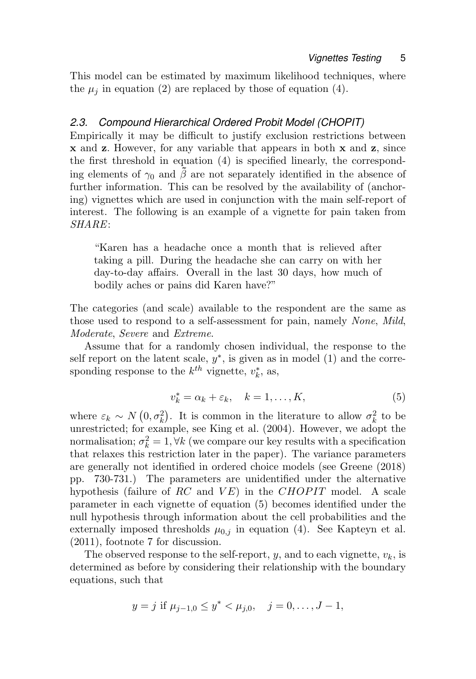This model can be estimated by maximum likelihood techniques, where the  $\mu_j$  in equation (2) are replaced by those of equation (4).

### *2.3. Compound Hierarchical Ordered Probit Model (CHOPIT)*

Empirically it may be difficult to justify exclusion restrictions between x and z. However, for any variable that appears in both x and z, since the first threshold in equation (4) is specified linearly, the corresponding elements of  $\gamma_0$  and  $\tilde{\beta}$  are not separately identified in the absence of further information. This can be resolved by the availability of (anchoring) vignettes which are used in conjunction with the main self-report of interest. The following is an example of a vignette for pain taken from SHARE:

"Karen has a headache once a month that is relieved after taking a pill. During the headache she can carry on with her day-to-day affairs. Overall in the last 30 days, how much of bodily aches or pains did Karen have?"

The categories (and scale) available to the respondent are the same as those used to respond to a self-assessment for pain, namely None, Mild, Moderate, Severe and Extreme.

Assume that for a randomly chosen individual, the response to the self report on the latent scale,  $y^*$ , is given as in model (1) and the corresponding response to the  $k^{th}$  vignette,  $v_k^*$ , as,

$$
v_k^* = \alpha_k + \varepsilon_k, \quad k = 1, \dots, K,
$$
\n<sup>(5)</sup>

where  $\varepsilon_k \sim N(0, \sigma_k^2)$ . It is common in the literature to allow  $\sigma_k^2$  to be unrestricted; for example, see King et al. (2004). However, we adopt the normalisation;  $\sigma_k^2 = 1, \forall k$  (we compare our key results with a specification that relaxes this restriction later in the paper). The variance parameters are generally not identified in ordered choice models (see Greene (2018) pp. 730-731.) The parameters are unidentified under the alternative hypothesis (failure of RC and  $VE$ ) in the CHOPIT model. A scale parameter in each vignette of equation (5) becomes identified under the null hypothesis through information about the cell probabilities and the externally imposed thresholds  $\mu_{0,j}$  in equation (4). See Kapteyn et al. (2011), footnote 7 for discussion.

The observed response to the self-report, y, and to each vignette,  $v_k$ , is determined as before by considering their relationship with the boundary equations, such that

$$
y = j
$$
 if  $\mu_{j-1,0} \le y^* < \mu_{j,0}, \quad j = 0, \ldots, J-1,$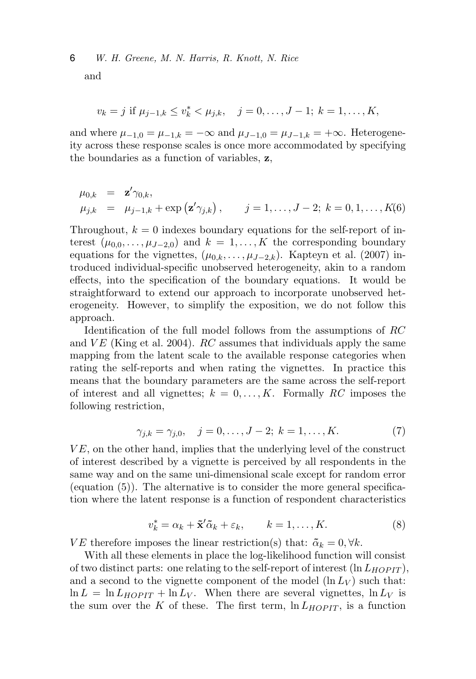and

$$
v_k = j
$$
 if  $\mu_{j-1,k} \le v_k^* < \mu_{j,k}, \quad j = 0, \ldots, J-1; k = 1, \ldots, K,$ 

and where  $\mu_{-1,0} = \mu_{-1,k} = -\infty$  and  $\mu_{J-1,0} = \mu_{J-1,k} = +\infty$ . Heterogeneity across these response scales is once more accommodated by specifying the boundaries as a function of variables, z,

$$
\mu_{0,k} = \mathbf{z}' \gamma_{0,k}, \n\mu_{j,k} = \mu_{j-1,k} + \exp(\mathbf{z}' \gamma_{j,k}), \quad j = 1, ..., J-2; k = 0, 1, ..., K(6)
$$

Throughout,  $k = 0$  indexes boundary equations for the self-report of interest  $(\mu_{0,0}, \ldots, \mu_{J-2,0})$  and  $k = 1, \ldots, K$  the corresponding boundary equations for the vignettes,  $(\mu_{0,k}, \ldots, \mu_{J-2,k})$ . Kapteyn et al. (2007) introduced individual-specific unobserved heterogeneity, akin to a random effects, into the specification of the boundary equations. It would be straightforward to extend our approach to incorporate unobserved heterogeneity. However, to simplify the exposition, we do not follow this approach.

Identification of the full model follows from the assumptions of RC and  $VE$  (King et al. 2004).  $RC$  assumes that individuals apply the same mapping from the latent scale to the available response categories when rating the self-reports and when rating the vignettes. In practice this means that the boundary parameters are the same across the self-report of interest and all vignettes;  $k = 0, \ldots, K$ . Formally RC imposes the following restriction,

$$
\gamma_{j,k} = \gamma_{j,0}, \quad j = 0, \dots, J-2; \ k = 1, \dots, K. \tag{7}
$$

 $VE$ , on the other hand, implies that the underlying level of the construct of interest described by a vignette is perceived by all respondents in the same way and on the same uni-dimensional scale except for random error (equation  $(5)$ ). The alternative is to consider the more general specification where the latent response is a function of respondent characteristics

$$
v_k^* = \alpha_k + \tilde{\mathbf{x}}'\tilde{\alpha}_k + \varepsilon_k, \qquad k = 1, \dots, K. \tag{8}
$$

VE therefore imposes the linear restriction(s) that:  $\tilde{\alpha}_k = 0, \forall k$ .

With all these elements in place the log-likelihood function will consist of two distinct parts: one relating to the self-report of interest  $(\ln L_{HOPIT})$ , and a second to the vignette component of the model  $(\ln L_V)$  such that:  $\ln L = \ln L_{HOPIT} + \ln L_V$ . When there are several vignettes,  $\ln L_V$  is the sum over the K of these. The first term,  $\ln L_{HOPIT}$ , is a function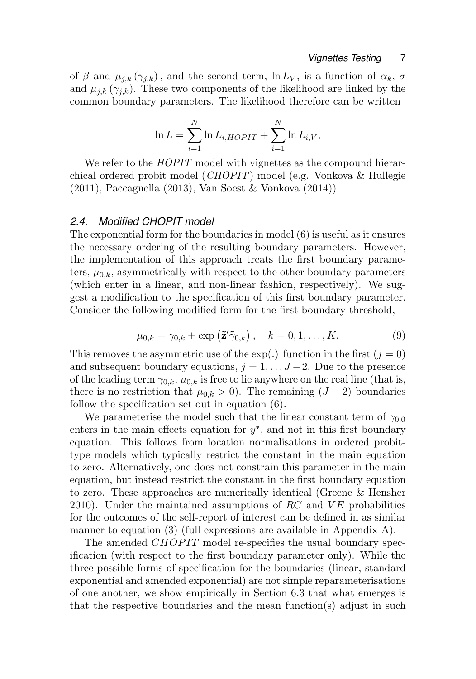of  $\beta$  and  $\mu_{j,k}(\gamma_{j,k})$ , and the second term,  $\ln L_V$ , is a function of  $\alpha_k$ ,  $\sigma$ and  $\mu_{i,k}$  ( $\gamma_{i,k}$ ). These two components of the likelihood are linked by the common boundary parameters. The likelihood therefore can be written

$$
\ln L = \sum_{i=1}^{N} \ln L_{i,HOPIT} + \sum_{i=1}^{N} \ln L_{i,V},
$$

We refer to the *HOPIT* model with vignettes as the compound hierarchical ordered probit model (CHOPIT) model (e.g. Vonkova & Hullegie (2011), Paccagnella (2013), Van Soest & Vonkova (2014)).

### *2.4. Modified CHOPIT model*

The exponential form for the boundaries in model (6) is useful as it ensures the necessary ordering of the resulting boundary parameters. However, the implementation of this approach treats the first boundary parameters,  $\mu_{0,k}$ , asymmetrically with respect to the other boundary parameters (which enter in a linear, and non-linear fashion, respectively). We suggest a modification to the specification of this first boundary parameter. Consider the following modified form for the first boundary threshold,

$$
\mu_{0,k} = \gamma_{0,k} + \exp\left(\tilde{\mathbf{z}}'\tilde{\gamma}_{0,k}\right), \quad k = 0, 1, \dots, K. \tag{9}
$$

This removes the asymmetric use of the exp(.) function in the first ( $j = 0$ ) and subsequent boundary equations,  $j = 1, \ldots J-2$ . Due to the presence of the leading term  $\gamma_{0,k}$ ,  $\mu_{0,k}$  is free to lie anywhere on the real line (that is, there is no restriction that  $\mu_{0,k} > 0$ ). The remaining  $(J - 2)$  boundaries follow the specification set out in equation (6).

We parameterise the model such that the linear constant term of  $\gamma_{0,0}$ enters in the main effects equation for  $y^*$ , and not in this first boundary equation. This follows from location normalisations in ordered probittype models which typically restrict the constant in the main equation to zero. Alternatively, one does not constrain this parameter in the main equation, but instead restrict the constant in the first boundary equation to zero. These approaches are numerically identical (Greene & Hensher 2010). Under the maintained assumptions of RC and  $VE$  probabilities for the outcomes of the self-report of interest can be defined in as similar manner to equation (3) (full expressions are available in Appendix A).

The amended CHOPIT model re-specifies the usual boundary specification (with respect to the first boundary parameter only). While the three possible forms of specification for the boundaries (linear, standard exponential and amended exponential) are not simple reparameterisations of one another, we show empirically in Section 6.3 that what emerges is that the respective boundaries and the mean function(s) adjust in such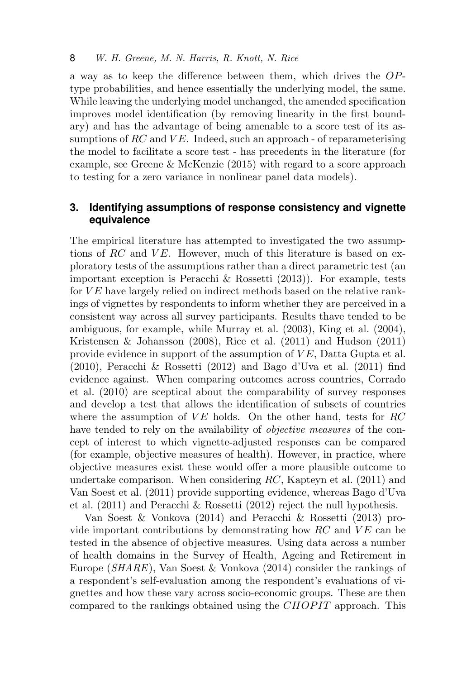a way as to keep the difference between them, which drives the OPtype probabilities, and hence essentially the underlying model, the same. While leaving the underlying model unchanged, the amended specification improves model identification (by removing linearity in the first boundary) and has the advantage of being amenable to a score test of its assumptions of RC and  $VE$ . Indeed, such an approach - of reparameterising the model to facilitate a score test - has precedents in the literature (for example, see Greene & McKenzie (2015) with regard to a score approach to testing for a zero variance in nonlinear panel data models).

### **3. Identifying assumptions of response consistency and vignette equivalence**

The empirical literature has attempted to investigated the two assumptions of RC and  $VE$ . However, much of this literature is based on exploratory tests of the assumptions rather than a direct parametric test (an important exception is Peracchi & Rossetti (2013)). For example, tests for  $VE$  have largely relied on indirect methods based on the relative rankings of vignettes by respondents to inform whether they are perceived in a consistent way across all survey participants. Results thave tended to be ambiguous, for example, while Murray et al. (2003), King et al. (2004), Kristensen & Johansson (2008), Rice et al. (2011) and Hudson (2011) provide evidence in support of the assumption of  $VE$ , Datta Gupta et al. (2010), Peracchi & Rossetti (2012) and Bago d'Uva et al. (2011) find evidence against. When comparing outcomes across countries, Corrado et al. (2010) are sceptical about the comparability of survey responses and develop a test that allows the identification of subsets of countries where the assumption of  $VE$  holds. On the other hand, tests for  $RC$ have tended to rely on the availability of *objective measures* of the concept of interest to which vignette-adjusted responses can be compared (for example, objective measures of health). However, in practice, where objective measures exist these would offer a more plausible outcome to undertake comparison. When considering RC, Kapteyn et al. (2011) and Van Soest et al. (2011) provide supporting evidence, whereas Bago d'Uva et al. (2011) and Peracchi & Rossetti (2012) reject the null hypothesis.

Van Soest & Vonkova (2014) and Peracchi & Rossetti (2013) provide important contributions by demonstrating how  $RC$  and  $VE$  can be tested in the absence of objective measures. Using data across a number of health domains in the Survey of Health, Ageing and Retirement in Europe (SHARE), Van Soest & Vonkova (2014) consider the rankings of a respondent's self-evaluation among the respondent's evaluations of vignettes and how these vary across socio-economic groups. These are then compared to the rankings obtained using the CHOPIT approach. This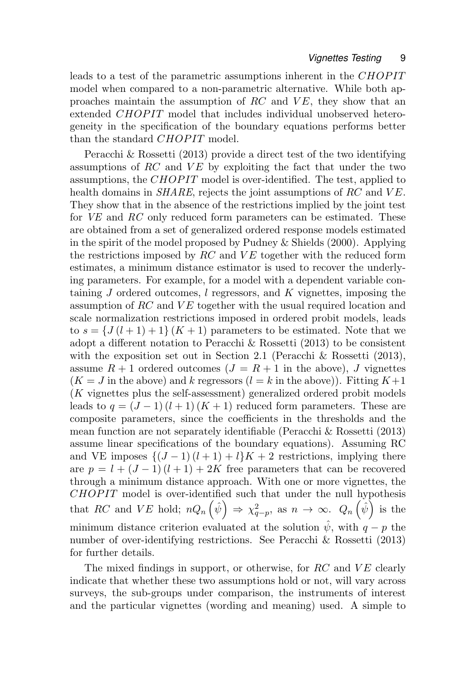leads to a test of the parametric assumptions inherent in the CHOPIT model when compared to a non-parametric alternative. While both approaches maintain the assumption of  $RC$  and  $VE$ , they show that an extended CHOPIT model that includes individual unobserved heterogeneity in the specification of the boundary equations performs better than the standard CHOPIT model.

Peracchi & Rossetti (2013) provide a direct test of the two identifying assumptions of  $RC$  and  $VE$  by exploiting the fact that under the two assumptions, the CHOPIT model is over-identified. The test, applied to health domains in  $SHARE$ , rejects the joint assumptions of RC and VE. They show that in the absence of the restrictions implied by the joint test for VE and RC only reduced form parameters can be estimated. These are obtained from a set of generalized ordered response models estimated in the spirit of the model proposed by Pudney & Shields (2000). Applying the restrictions imposed by  $RC$  and  $VE$  together with the reduced form estimates, a minimum distance estimator is used to recover the underlying parameters. For example, for a model with a dependent variable containing  $J$  ordered outcomes,  $l$  regressors, and  $K$  vignettes, imposing the assumption of  $RC$  and  $VE$  together with the usual required location and scale normalization restrictions imposed in ordered probit models, leads to  $s = \{J(l+1)+1\}(K+1)$  parameters to be estimated. Note that we adopt a different notation to Peracchi & Rossetti (2013) to be consistent with the exposition set out in Section 2.1 (Peracchi & Rossetti (2013), assume  $R + 1$  ordered outcomes  $(J = R + 1$  in the above), J vignettes  $(K = J$  in the above) and k regressors  $(l = k$  in the above)). Fitting  $K+1$ (K vignettes plus the self-assessment) generalized ordered probit models leads to  $q = (J-1)(l+1)(K+1)$  reduced form parameters. These are composite parameters, since the coefficients in the thresholds and the mean function are not separately identifiable (Peracchi & Rossetti (2013) assume linear specifications of the boundary equations). Assuming RC and VE imposes  $\{(J-1)(l+1)+l\}K+2$  restrictions, implying there are  $p = l + (J - 1)(l + 1) + 2K$  free parameters that can be recovered through a minimum distance approach. With one or more vignettes, the  $CHOPIT$  model is over-identified such that under the null hypothesis that RC and VE hold;  $nQ_n(\hat{\psi}) \Rightarrow \chi^2_{q-p}$ , as  $n \to \infty$ .  $Q_n(\hat{\psi})$  is the minimum distance criterion evaluated at the solution  $\hat{\psi}$ , with  $q - p$  the number of over-identifying restrictions. See Peracchi & Rossetti (2013) for further details.

The mixed findings in support, or otherwise, for  $RC$  and  $VE$  clearly indicate that whether these two assumptions hold or not, will vary across surveys, the sub-groups under comparison, the instruments of interest and the particular vignettes (wording and meaning) used. A simple to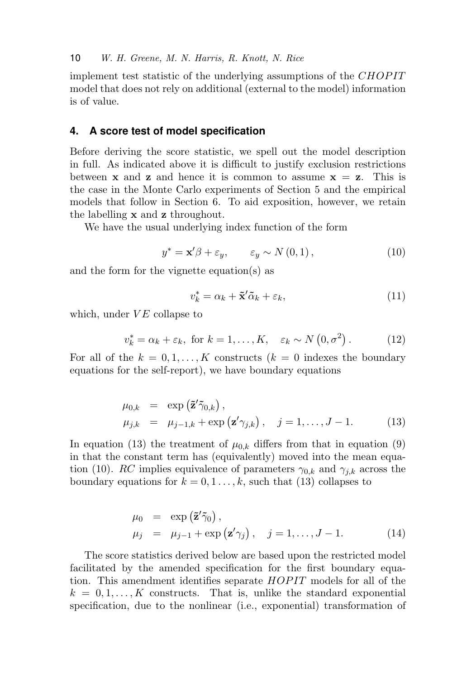implement test statistic of the underlying assumptions of the CHOPIT model that does not rely on additional (external to the model) information is of value.

### **4. A score test of model specification**

Before deriving the score statistic, we spell out the model description in full. As indicated above it is difficult to justify exclusion restrictions between **x** and **z** and hence it is common to assume  $x = z$ . This is the case in the Monte Carlo experiments of Section 5 and the empirical models that follow in Section 6. To aid exposition, however, we retain the labelling x and z throughout.

We have the usual underlying index function of the form

$$
y^* = \mathbf{x}'\beta + \varepsilon_y, \qquad \varepsilon_y \sim N(0, 1), \tag{10}
$$

and the form for the vignette equation(s) as

$$
v_k^* = \alpha_k + \tilde{\mathbf{x}}'\tilde{\alpha}_k + \varepsilon_k,\tag{11}
$$

which, under  $VE$  collapse to

$$
v_k^* = \alpha_k + \varepsilon_k, \text{ for } k = 1, ..., K, \quad \varepsilon_k \sim N(0, \sigma^2).
$$
 (12)

For all of the  $k = 0, 1, ..., K$  constructs  $(k = 0$  indexes the boundary equations for the self-report), we have boundary equations

$$
\mu_{0,k} = \exp(\tilde{\mathbf{z}}'\tilde{\gamma}_{0,k}),
$$
  
\n
$$
\mu_{j,k} = \mu_{j-1,k} + \exp(\mathbf{z}'\gamma_{j,k}), \quad j = 1, ..., J-1.
$$
 (13)

In equation (13) the treatment of  $\mu_{0,k}$  differs from that in equation (9) in that the constant term has (equivalently) moved into the mean equation (10). RC implies equivalence of parameters  $\gamma_{0,k}$  and  $\gamma_{j,k}$  across the boundary equations for  $k = 0, 1, \ldots, k$ , such that (13) collapses to

$$
\mu_0 = \exp(\tilde{\mathbf{z}}'\tilde{\gamma}_0), \n\mu_j = \mu_{j-1} + \exp(\mathbf{z}'\gamma_j), \quad j = 1, ..., J-1.
$$
\n(14)

The score statistics derived below are based upon the restricted model facilitated by the amended specification for the first boundary equation. This amendment identifies separate  $HOPIT$  models for all of the  $k = 0, 1, \ldots, K$  constructs. That is, unlike the standard exponential specification, due to the nonlinear (i.e., exponential) transformation of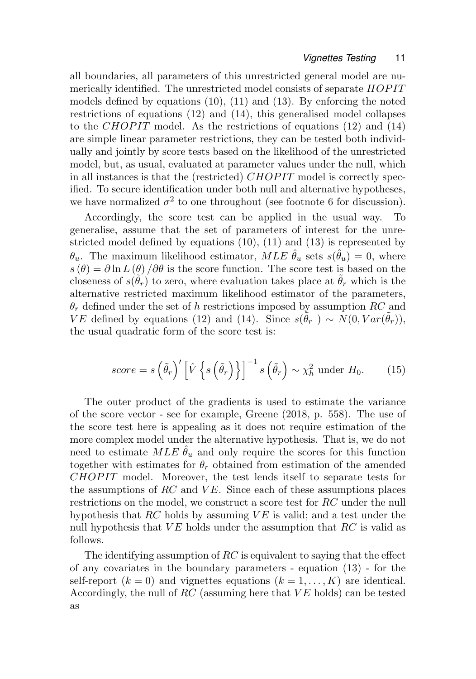all boundaries, all parameters of this unrestricted general model are numerically identified. The unrestricted model consists of separate  $HOPIT$ models defined by equations (10), (11) and (13). By enforcing the noted restrictions of equations (12) and (14), this generalised model collapses to the *CHOPIT* model. As the restrictions of equations  $(12)$  and  $(14)$ are simple linear parameter restrictions, they can be tested both individually and jointly by score tests based on the likelihood of the unrestricted model, but, as usual, evaluated at parameter values under the null, which in all instances is that the (restricted) CHOPIT model is correctly specified. To secure identification under both null and alternative hypotheses, we have normalized  $\sigma^2$  to one throughout (see footnote 6 for discussion).

Accordingly, the score test can be applied in the usual way. To generalise, assume that the set of parameters of interest for the unrestricted model defined by equations (10), (11) and (13) is represented by  $\theta_u$ . The maximum likelihood estimator,  $MLE \hat{\theta}_u$  sets  $s(\hat{\theta}_u) = 0$ , where  $s(\theta) = \partial \ln L(\theta) / \partial \theta$  is the score function. The score test is based on the closeness of  $s(\tilde{\theta}_r)$  to zero, where evaluation takes place at  $\tilde{\theta}_r$  which is the alternative restricted maximum likelihood estimator of the parameters,  $\theta_r$  defined under the set of h restrictions imposed by assumption RC and VE defined by equations (12) and (14). Since  $s(\tilde{\theta}_r) \sim N(0, Var(\tilde{\theta}_r))$ , the usual quadratic form of the score test is:

$$
score = s\left(\tilde{\theta}_r\right)' \left[\hat{V}\left\{s\left(\tilde{\theta}_r\right)\right\}\right]^{-1} s\left(\tilde{\theta}_r\right) \sim \chi_h^2 \text{ under } H_0. \tag{15}
$$

The outer product of the gradients is used to estimate the variance of the score vector - see for example, Greene (2018, p. 558). The use of the score test here is appealing as it does not require estimation of the more complex model under the alternative hypothesis. That is, we do not need to estimate MLE  $\hat{\theta}_u$  and only require the scores for this function together with estimates for  $\theta_r$  obtained from estimation of the amended CHOPIT model. Moreover, the test lends itself to separate tests for the assumptions of RC and  $VE$ . Since each of these assumptions places restrictions on the model, we construct a score test for RC under the null hypothesis that  $RC$  holds by assuming  $VE$  is valid; and a test under the null hypothesis that  $VE$  holds under the assumption that  $RC$  is valid as follows.

The identifying assumption of  $RC$  is equivalent to saying that the effect of any covariates in the boundary parameters - equation (13) - for the self-report  $(k = 0)$  and vignettes equations  $(k = 1, ..., K)$  are identical. Accordingly, the null of  $RC$  (assuming here that  $VE$  holds) can be tested as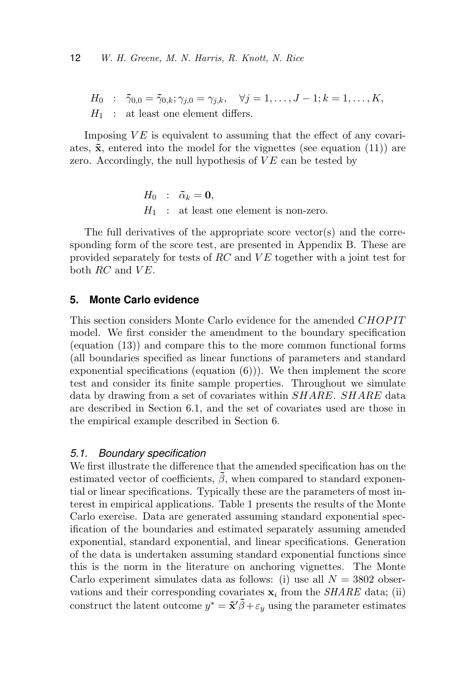$H_0 : \tilde{\gamma}_{0,0} = \tilde{\gamma}_{0,k}; \gamma_{j,0} = \gamma_{j,k}, \quad \forall j = 1, \ldots, J-1; k = 1, \ldots, K,$  $H_1$ : at least one element differs.

Imposing  $VE$  is equivalent to assuming that the effect of any covariates,  $\tilde{\mathbf{x}}$ , entered into the model for the vignettes (see equation (11)) are zero. Accordingly, the null hypothesis of  $VE$  can be tested by

> $H_0$  :  $\tilde{\alpha}_k = 0$ ,  $H_1$ : at least one element is non-zero.

The full derivatives of the appropriate score vector(s) and the corresponding form of the score test, are presented in Appendix B. These are provided separately for tests of  $RC$  and  $VE$  together with a joint test for both  $RC$  and  $VE$ .

### **5. Monte Carlo evidence**

This section considers Monte Carlo evidence for the amended CHOPIT model. We first consider the amendment to the boundary specification (equation (13)) and compare this to the more common functional forms (all boundaries specified as linear functions of parameters and standard exponential specifications (equation  $(6)$ )). We then implement the score test and consider its finite sample properties. Throughout we simulate data by drawing from a set of covariates within SHARE. SHARE data are described in Section 6.1, and the set of covariates used are those in the empirical example described in Section 6.

#### *5.1. Boundary specification*

We first illustrate the difference that the amended specification has on the estimated vector of coefficients,  $\hat{\beta}$ , when compared to standard exponential or linear specifications. Typically these are the parameters of most interest in empirical applications. Table 1 presents the results of the Monte Carlo exercise. Data are generated assuming standard exponential specification of the boundaries and estimated separately assuming amended exponential, standard exponential, and linear specifications. Generation of the data is undertaken assuming standard exponential functions since this is the norm in the literature on anchoring vignettes. The Monte Carlo experiment simulates data as follows: (i) use all  $N = 3802$  observations and their corresponding covariates  $x_i$  from the *SHARE* data; (ii) construct the latent outcome  $y^* = \tilde{\mathbf{x}}' \tilde{\beta} + \varepsilon_y$  using the parameter estimates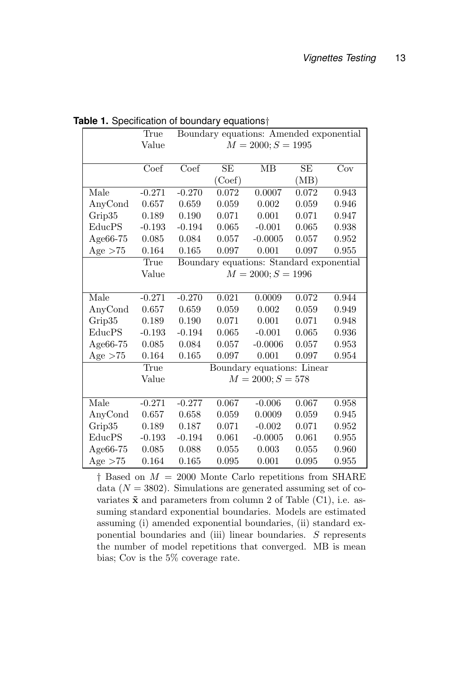|           | True     |                            |        | Boundary equations: Amended exponential  |       |                         |
|-----------|----------|----------------------------|--------|------------------------------------------|-------|-------------------------|
|           | Value    |                            |        | $M = 2000; S = 1995$                     |       |                         |
|           |          |                            |        |                                          |       |                         |
|           | Coef     | $\overline{\mathrm{Coef}}$ | SE     | MB                                       | SE    | $\overline{\text{Cov}}$ |
|           |          |                            | (Coef) |                                          | (MB)  |                         |
| Male      | $-0.271$ | $-0.270$                   | 0.072  | 0.0007                                   | 0.072 | 0.943                   |
| AnyCond   | 0.657    | 0.659                      | 0.059  | 0.002                                    | 0.059 | 0.946                   |
| Grip35    | 0.189    | 0.190                      | 0.071  | 0.001                                    | 0.071 | 0.947                   |
| EducPS    | $-0.193$ | $-0.194$                   | 0.065  | $-0.001$                                 | 0.065 | 0.938                   |
| Age66-75  | 0.085    | 0.084                      | 0.057  | $-0.0005$                                | 0.057 | 0.952                   |
| Age $>75$ | 0.164    | 0.165                      | 0.097  | 0.001                                    | 0.097 | 0.955                   |
|           | True     |                            |        | Boundary equations: Standard exponential |       |                         |
|           | Value    |                            |        | $M = 2000; S = 1996$                     |       |                         |
|           |          |                            |        |                                          |       |                         |
| Male      | $-0.271$ | $-0.270$                   | 0.021  | 0.0009                                   | 0.072 | 0.944                   |
| AnyCond   | 0.657    | 0.659                      | 0.059  | 0.002                                    | 0.059 | 0.949                   |
| Grip35    | 0.189    | 0.190                      | 0.071  | 0.001                                    | 0.071 | 0.948                   |
| EducPS    | $-0.193$ | $-0.194$                   | 0.065  | $-0.001$                                 | 0.065 | 0.936                   |
| Age66-75  | 0.085    | 0.084                      | 0.057  | $-0.0006$                                | 0.057 | 0.953                   |
| Age $>75$ | 0.164    | 0.165                      | 0.097  | 0.001                                    | 0.097 | 0.954                   |
|           | True     |                            |        | Boundary equations: Linear               |       |                         |
|           | Value    |                            |        | $M = 2000; S = 578$                      |       |                         |
|           |          |                            |        |                                          |       |                         |
| Male      | $-0.271$ | $-0.277$                   | 0.067  | $-0.006$                                 | 0.067 | 0.958                   |
| AnyCond   | 0.657    | 0.658                      | 0.059  | 0.0009                                   | 0.059 | 0.945                   |
| Grip35    | 0.189    | 0.187                      | 0.071  | $-0.002$                                 | 0.071 | 0.952                   |
| EducPS    | $-0.193$ | $-0.194$                   | 0.061  | $-0.0005$                                | 0.061 | 0.955                   |
| Age66-75  | 0.085    | 0.088                      | 0.055  | 0.003                                    | 0.055 | 0.960                   |
| Age $>75$ | 0.164    | 0.165                      | 0.095  | 0.001                                    | 0.095 | 0.955                   |

**Table 1.** Specification of boundary equations<sup>†</sup>

 $\dagger$  Based on  $M = 2000$  Monte Carlo repetitions from SHARE data  $(N = 3802)$ . Simulations are generated assuming set of covariates  $\tilde{\mathbf{x}}$  and parameters from column 2 of Table (C1), i.e. assuming standard exponential boundaries. Models are estimated assuming (i) amended exponential boundaries, (ii) standard exponential boundaries and (iii) linear boundaries. S represents the number of model repetitions that converged. MB is mean bias; Cov is the 5% coverage rate.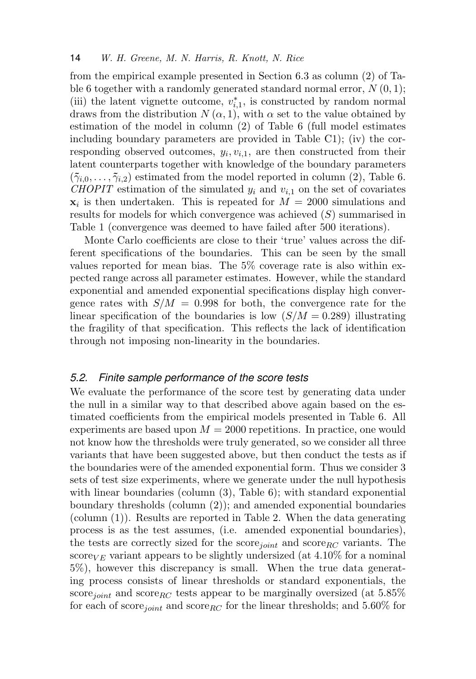from the empirical example presented in Section 6.3 as column (2) of Table 6 together with a randomly generated standard normal error,  $N(0, 1)$ ; (iii) the latent vignette outcome,  $v_{i,1}^*$ , is constructed by random normal draws from the distribution  $N(\alpha, 1)$ , with  $\alpha$  set to the value obtained by estimation of the model in column (2) of Table 6 (full model estimates including boundary parameters are provided in Table C1); (iv) the corresponding observed outcomes,  $y_i, v_{i,1}$ , are then constructed from their latent counterparts together with knowledge of the boundary parameters  $(\tilde{\gamma}_{i,0},\ldots,\tilde{\gamma}_{i,2})$  estimated from the model reported in column (2), Table 6. CHOPIT estimation of the simulated  $y_i$  and  $v_{i,1}$  on the set of covariates  $\mathbf{x}_i$  is then undertaken. This is repeated for  $M = 2000$  simulations and results for models for which convergence was achieved (S) summarised in Table 1 (convergence was deemed to have failed after 500 iterations).

Monte Carlo coefficients are close to their 'true' values across the different specifications of the boundaries. This can be seen by the small values reported for mean bias. The 5% coverage rate is also within expected range across all parameter estimates. However, while the standard exponential and amended exponential specifications display high convergence rates with  $S/M = 0.998$  for both, the convergence rate for the linear specification of the boundaries is low  $(S/M = 0.289)$  illustrating the fragility of that specification. This reflects the lack of identification through not imposing non-linearity in the boundaries.

### *5.2. Finite sample performance of the score tests*

We evaluate the performance of the score test by generating data under the null in a similar way to that described above again based on the estimated coefficients from the empirical models presented in Table 6. All experiments are based upon  $M = 2000$  repetitions. In practice, one would not know how the thresholds were truly generated, so we consider all three variants that have been suggested above, but then conduct the tests as if the boundaries were of the amended exponential form. Thus we consider 3 sets of test size experiments, where we generate under the null hypothesis with linear boundaries (column  $(3)$ , Table 6); with standard exponential boundary thresholds (column (2)); and amended exponential boundaries (column (1)). Results are reported in Table 2. When the data generating process is as the test assumes, (i.e. amended exponential boundaries), the tests are correctly sized for the score<sub>joint</sub> and score<sub>RC</sub> variants. The score<sub>VE</sub> variant appears to be slightly undersized (at  $4.10\%$  for a nominal 5%), however this discrepancy is small. When the true data generating process consists of linear thresholds or standard exponentials, the score<sub>joint</sub> and score<sub>RC</sub> tests appear to be marginally oversized (at 5.85%) for each of score<sub>joint</sub> and score<sub>RC</sub> for the linear thresholds; and 5.60% for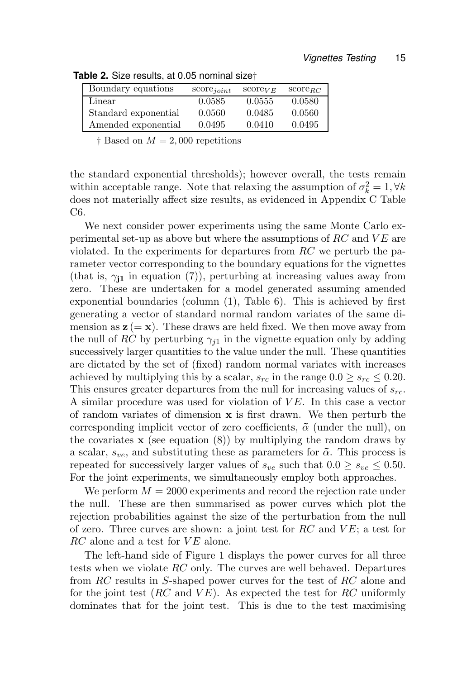| Boundary equations   | $score_{joint}$ | $score_{VE}$ | $score_{BC}$ |
|----------------------|-----------------|--------------|--------------|
| Linear               | 0.0585          | 0.0555       | 0.0580       |
| Standard exponential | 0.0560          | 0.0485       | 0.0560       |
| Amended exponential  | 0.0495          | 0.0410       | 0.0495       |

**Table 2.** Size results, at 0.05 nominal size†

 $\dagger$  Based on  $M = 2,000$  repetitions

the standard exponential thresholds); however overall, the tests remain within acceptable range. Note that relaxing the assumption of  $\sigma_k^2 = 1, \forall k$ does not materially affect size results, as evidenced in Appendix C Table C6.

We next consider power experiments using the same Monte Carlo experimental set-up as above but where the assumptions of  $RC$  and  $VE$  are violated. In the experiments for departures from  $RC$  we perturb the parameter vector corresponding to the boundary equations for the vignettes (that is,  $\gamma_{11}$  in equation (7)), perturbing at increasing values away from zero. These are undertaken for a model generated assuming amended exponential boundaries (column (1), Table 6). This is achieved by first generating a vector of standard normal random variates of the same dimension as  $z (= x)$ . These draws are held fixed. We then move away from the null of RC by perturbing  $\gamma_{i1}$  in the vignette equation only by adding successively larger quantities to the value under the null. These quantities are dictated by the set of (fixed) random normal variates with increases achieved by multiplying this by a scalar,  $s_{rc}$  in the range  $0.0 \geq s_{rc} \leq 0.20$ . This ensures greater departures from the null for increasing values of  $s_{rc}$ . A similar procedure was used for violation of  $VE$ . In this case a vector of random variates of dimension  $x$  is first drawn. We then perturb the corresponding implicit vector of zero coefficients,  $\tilde{\alpha}$  (under the null), on the covariates  $x$  (see equation  $(8)$ ) by multiplying the random draws by a scalar,  $s_{ve}$ , and substituting these as parameters for  $\tilde{\alpha}$ . This process is repeated for successively larger values of  $s_{ve}$  such that  $0.0 \geq s_{ve} \leq 0.50$ . For the joint experiments, we simultaneously employ both approaches.

We perform  $M = 2000$  experiments and record the rejection rate under the null. These are then summarised as power curves which plot the rejection probabilities against the size of the perturbation from the null of zero. Three curves are shown: a joint test for  $RC$  and  $VE$ ; a test for  $RC$  alone and a test for  $VE$  alone.

The left-hand side of Figure 1 displays the power curves for all three tests when we violate  $RC$  only. The curves are well behaved. Departures from RC results in S-shaped power curves for the test of RC alone and for the joint test (RC and  $VE$ ). As expected the test for RC uniformly dominates that for the joint test. This is due to the test maximising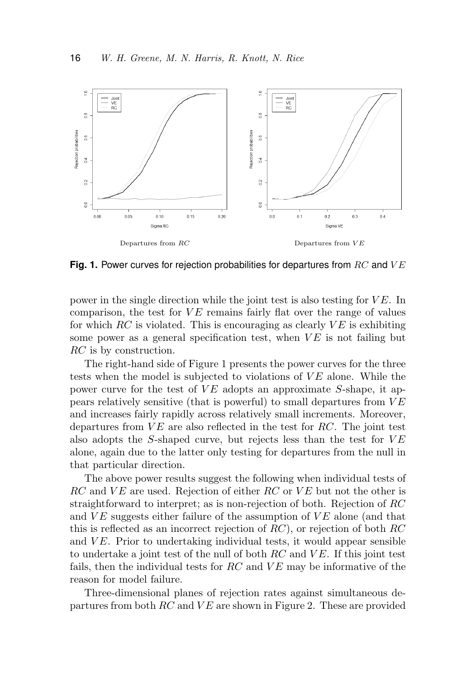

**Fig. 1.** Power curves for rejection probabilities for departures from RC and VE

power in the single direction while the joint test is also testing for  $VE$ . In comparison, the test for  $VE$  remains fairly flat over the range of values for which  $RC$  is violated. This is encouraging as clearly  $VE$  is exhibiting some power as a general specification test, when  $VE$  is not failing but RC is by construction.

The right-hand side of Figure 1 presents the power curves for the three tests when the model is subjected to violations of  $VE$  alone. While the power curve for the test of  $VE$  adopts an approximate S-shape, it appears relatively sensitive (that is powerful) to small departures from  $VE$ and increases fairly rapidly across relatively small increments. Moreover, departures from  $VE$  are also reflected in the test for RC. The joint test also adopts the S-shaped curve, but rejects less than the test for  $VE$ alone, again due to the latter only testing for departures from the null in that particular direction.

The above power results suggest the following when individual tests of  $RC$  and  $VE$  are used. Rejection of either  $RC$  or  $VE$  but not the other is straightforward to interpret; as is non-rejection of both. Rejection of RC and  $VE$  suggests either failure of the assumption of  $VE$  alone (and that this is reflected as an incorrect rejection of  $RC$ ), or rejection of both  $RC$ and  $VE$ . Prior to undertaking individual tests, it would appear sensible to undertake a joint test of the null of both  $RC$  and  $VE$ . If this joint test fails, then the individual tests for  $RC$  and  $VE$  may be informative of the reason for model failure.

Three-dimensional planes of rejection rates against simultaneous departures from both  $RC$  and  $VE$  are shown in Figure 2. These are provided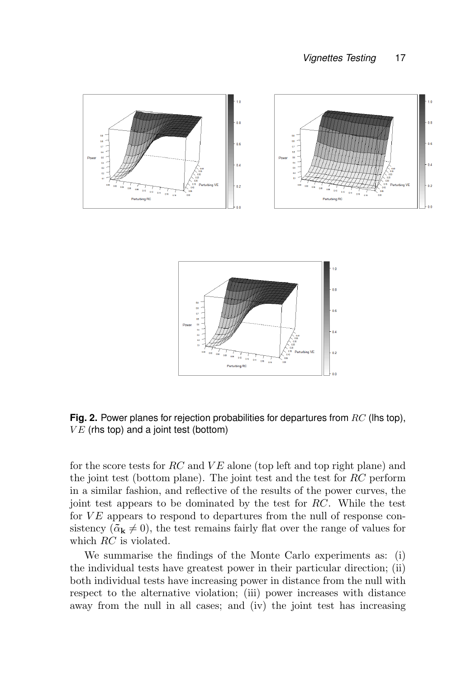



**Fig. 2.** Power planes for rejection probabilities for departures from RC (lhs top),  $VE$  (rhs top) and a joint test (bottom)

for the score tests for  $RC$  and  $VE$  alone (top left and top right plane) and the joint test (bottom plane). The joint test and the test for RC perform in a similar fashion, and reflective of the results of the power curves, the joint test appears to be dominated by the test for RC. While the test for  $VE$  appears to respond to departures from the null of response consistency  $(\tilde{\alpha}_k \neq 0)$ , the test remains fairly flat over the range of values for which RC is violated.

We summarise the findings of the Monte Carlo experiments as: (i) the individual tests have greatest power in their particular direction; (ii) both individual tests have increasing power in distance from the null with respect to the alternative violation; (iii) power increases with distance away from the null in all cases; and (iv) the joint test has increasing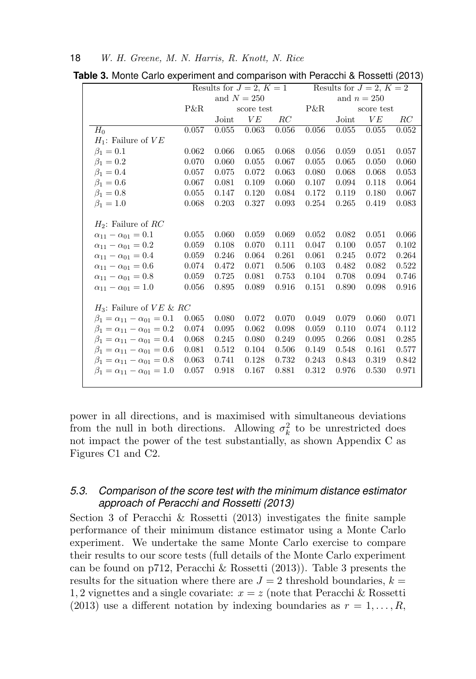|                                             | Results for $J=2, K=1$ |               |            |       |       | Results for $J=2, K=2$ |               |       |
|---------------------------------------------|------------------------|---------------|------------|-------|-------|------------------------|---------------|-------|
|                                             |                        | and $N = 250$ |            |       |       |                        | and $n = 250$ |       |
|                                             | P&R                    |               | score test |       | P&R   |                        | score test    |       |
|                                             |                        | Joint         | VE         | RC    |       | Joint                  | VE            | RC    |
| $H_0$                                       | 0.057                  | 0.055         | 0.063      | 0.056 | 0.056 | 0.055                  | 0.055         | 0.052 |
| $H_1$ : Failure of $VE$                     |                        |               |            |       |       |                        |               |       |
| $\beta_1 = 0.1$                             | 0.062                  | 0.066         | 0.065      | 0.068 | 0.056 | 0.059                  | 0.051         | 0.057 |
| $\beta_1 = 0.2$                             | 0.070                  | 0.060         | 0.055      | 0.067 | 0.055 | 0.065                  | 0.050         | 0.060 |
| $\beta_1 = 0.4$                             | 0.057                  | 0.075         | 0.072      | 0.063 | 0.080 | 0.068                  | 0.068         | 0.053 |
| $\beta_1=0.6$                               | 0.067                  | 0.081         | 0.109      | 0.060 | 0.107 | 0.094                  | 0.118         | 0.064 |
| $\beta_1 = 0.8$                             | 0.055                  | 0.147         | 0.120      | 0.084 | 0.172 | 0.119                  | 0.180         | 0.067 |
| $\beta_1 = 1.0$                             | 0.068                  | 0.203         | 0.327      | 0.093 | 0.254 | 0.265                  | 0.419         | 0.083 |
|                                             |                        |               |            |       |       |                        |               |       |
| $H_2$ : Failure of RC                       |                        |               |            |       |       |                        |               |       |
| $\alpha_{11} - \alpha_{01} = 0.1$           | 0.055                  | 0.060         | 0.059      | 0.069 | 0.052 | 0.082                  | 0.051         | 0.066 |
| $\alpha_{11} - \alpha_{01} = 0.2$           | 0.059                  | 0.108         | 0.070      | 0.111 | 0.047 | 0.100                  | 0.057         | 0.102 |
| $\alpha_{11} - \alpha_{01} = 0.4$           | 0.059                  | 0.246         | 0.064      | 0.261 | 0.061 | 0.245                  | 0.072         | 0.264 |
| $\alpha_{11} - \alpha_{01} = 0.6$           | 0.074                  | 0.472         | 0.071      | 0.506 | 0.103 | 0.482                  | 0.082         | 0.522 |
| $\alpha_{11} - \alpha_{01} = 0.8$           | 0.059                  | 0.725         | 0.081      | 0.753 | 0.104 | 0.708                  | 0.094         | 0.746 |
| $\alpha_{11} - \alpha_{01} = 1.0$           | 0.056                  | 0.895         | 0.089      | 0.916 | 0.151 | 0.890                  | 0.098         | 0.916 |
|                                             |                        |               |            |       |       |                        |               |       |
| $H_3$ : Failure of $VE \& RC$               |                        |               |            |       |       |                        |               |       |
| $\beta_1 = \alpha_{11} - \alpha_{01} = 0.1$ | 0.065                  | 0.080         | 0.072      | 0.070 | 0.049 | 0.079                  | 0.060         | 0.071 |
| $\beta_1 = \alpha_{11} - \alpha_{01} = 0.2$ | 0.074                  | 0.095         | 0.062      | 0.098 | 0.059 | 0.110                  | 0.074         | 0.112 |
| $\beta_1 = \alpha_{11} - \alpha_{01} = 0.4$ | 0.068                  | 0.245         | 0.080      | 0.249 | 0.095 | 0.266                  | 0.081         | 0.285 |
| $\beta_1 = \alpha_{11} - \alpha_{01} = 0.6$ | 0.081                  | 0.512         | 0.104      | 0.506 | 0.149 | 0.548                  | 0.161         | 0.577 |
| $\beta_1 = \alpha_{11} - \alpha_{01} = 0.8$ | 0.063                  | 0.741         | 0.128      | 0.732 | 0.243 | 0.843                  | 0.319         | 0.842 |
| $\beta_1 = \alpha_{11} - \alpha_{01} = 1.0$ | 0.057                  | 0.918         | 0.167      | 0.881 | 0.312 | 0.976                  | 0.530         | 0.971 |
|                                             |                        |               |            |       |       |                        |               |       |

**Table 3.** Monte Carlo experiment and comparison with Peracchi & Rossetti (2013)

power in all directions, and is maximised with simultaneous deviations from the null in both directions. Allowing  $\sigma_k^2$  to be unrestricted does not impact the power of the test substantially, as shown Appendix C as Figures C1 and C2.

### *5.3. Comparison of the score test with the minimum distance estimator approach of Peracchi and Rossetti (2013)*

Section 3 of Peracchi & Rossetti (2013) investigates the finite sample performance of their minimum distance estimator using a Monte Carlo experiment. We undertake the same Monte Carlo exercise to compare their results to our score tests (full details of the Monte Carlo experiment can be found on p712, Peracchi & Rossetti (2013)). Table 3 presents the results for the situation where there are  $J = 2$  threshold boundaries,  $k =$ 1, 2 vignettes and a single covariate:  $x = z$  (note that Peracchi & Rossetti (2013) use a different notation by indexing boundaries as  $r = 1, \ldots, R$ ,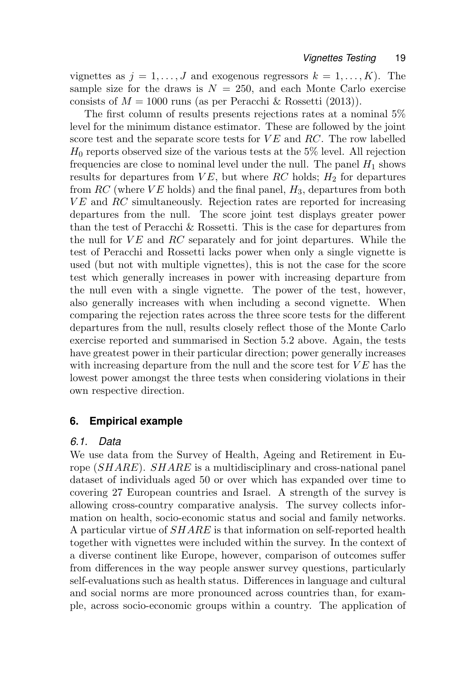vignettes as  $j = 1, \ldots, J$  and exogenous regressors  $k = 1, \ldots, K$ . The sample size for the draws is  $N = 250$ , and each Monte Carlo exercise consists of  $M = 1000$  runs (as per Peracchi & Rossetti (2013)).

The first column of results presents rejections rates at a nominal 5% level for the minimum distance estimator. These are followed by the joint score test and the separate score tests for  $VE$  and  $RC$ . The row labelled  $H_0$  reports observed size of the various tests at the 5% level. All rejection frequencies are close to nominal level under the null. The panel  $H_1$  shows results for departures from  $VE$ , but where RC holds;  $H_2$  for departures from  $RC$  (where  $VE$  holds) and the final panel,  $H_3$ , departures from both  $VE$  and  $RC$  simultaneously. Rejection rates are reported for increasing departures from the null. The score joint test displays greater power than the test of Peracchi & Rossetti. This is the case for departures from the null for  $VE$  and  $RC$  separately and for joint departures. While the test of Peracchi and Rossetti lacks power when only a single vignette is used (but not with multiple vignettes), this is not the case for the score test which generally increases in power with increasing departure from the null even with a single vignette. The power of the test, however, also generally increases with when including a second vignette. When comparing the rejection rates across the three score tests for the different departures from the null, results closely reflect those of the Monte Carlo exercise reported and summarised in Section 5.2 above. Again, the tests have greatest power in their particular direction; power generally increases with increasing departure from the null and the score test for  $VE$  has the lowest power amongst the three tests when considering violations in their own respective direction.

### **6. Empirical example**

### *6.1. Data*

We use data from the Survey of Health, Ageing and Retirement in Europe (SHARE). SHARE is a multidisciplinary and cross-national panel dataset of individuals aged 50 or over which has expanded over time to covering 27 European countries and Israel. A strength of the survey is allowing cross-country comparative analysis. The survey collects information on health, socio-economic status and social and family networks. A particular virtue of SHARE is that information on self-reported health together with vignettes were included within the survey. In the context of a diverse continent like Europe, however, comparison of outcomes suffer from differences in the way people answer survey questions, particularly self-evaluations such as health status. Differences in language and cultural and social norms are more pronounced across countries than, for example, across socio-economic groups within a country. The application of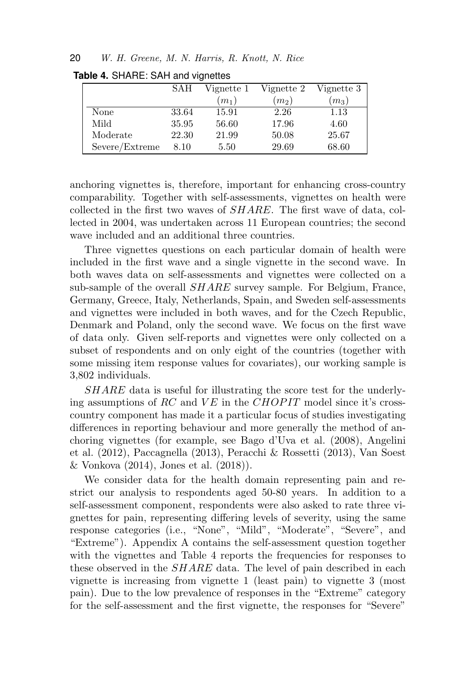|                | SAH   | Vignette 1 | Vignette 2 | Vignette 3 |
|----------------|-------|------------|------------|------------|
|                |       | $(m_1)$    | $(m_2)$    | $(m_3)$    |
| None           | 33.64 | 15.91      | 2.26       | 1.13       |
| Mild           | 35.95 | 56.60      | 17.96      | 4.60       |
| Moderate       | 22.30 | 21.99      | 50.08      | 25.67      |
| Severe/Extreme | 8.10  | 5.50       | 29.69      | 68.60      |

**Table 4.** SHARE: SAH and vignettes

anchoring vignettes is, therefore, important for enhancing cross-country comparability. Together with self-assessments, vignettes on health were collected in the first two waves of SHARE. The first wave of data, collected in 2004, was undertaken across 11 European countries; the second wave included and an additional three countries.

Three vignettes questions on each particular domain of health were included in the first wave and a single vignette in the second wave. In both waves data on self-assessments and vignettes were collected on a sub-sample of the overall *SHARE* survey sample. For Belgium, France, Germany, Greece, Italy, Netherlands, Spain, and Sweden self-assessments and vignettes were included in both waves, and for the Czech Republic, Denmark and Poland, only the second wave. We focus on the first wave of data only. Given self-reports and vignettes were only collected on a subset of respondents and on only eight of the countries (together with some missing item response values for covariates), our working sample is 3,802 individuals.

SHARE data is useful for illustrating the score test for the underlying assumptions of RC and  $VE$  in the CHOPIT model since it's crosscountry component has made it a particular focus of studies investigating differences in reporting behaviour and more generally the method of anchoring vignettes (for example, see Bago d'Uva et al. (2008), Angelini et al. (2012), Paccagnella (2013), Peracchi & Rossetti (2013), Van Soest & Vonkova (2014), Jones et al. (2018)).

We consider data for the health domain representing pain and restrict our analysis to respondents aged 50-80 years. In addition to a self-assessment component, respondents were also asked to rate three vignettes for pain, representing differing levels of severity, using the same response categories (i.e., "None", "Mild", "Moderate", "Severe", and "Extreme"). Appendix A contains the self-assessment question together with the vignettes and Table 4 reports the frequencies for responses to these observed in the *SHARE* data. The level of pain described in each vignette is increasing from vignette 1 (least pain) to vignette 3 (most pain). Due to the low prevalence of responses in the "Extreme" category for the self-assessment and the first vignette, the responses for "Severe"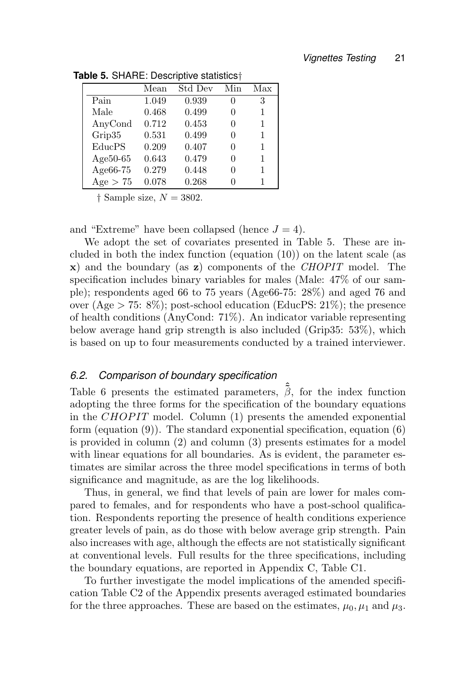|             | Mean  | Std Dev | Min | Max |
|-------------|-------|---------|-----|-----|
| Pain        | 1.049 | 0.939   | 0   | 3   |
| Male        | 0.468 | 0.499   | 0   | 1   |
| AnyCond     | 0.712 | 0.453   | 0   | 1   |
| Grip35      | 0.531 | 0.499   | 0   | 1   |
| EducPS      | 0.209 | 0.407   | 0   | 1   |
| Age $50-65$ | 0.643 | 0.479   | 0   | 1   |
| Age66-75    | 0.279 | 0.448   | 0   | 1   |
| Age $> 75$  | 0.078 | 0.268   |     |     |

**Table 5.** SHARE: Descriptive statistics†

 $\dagger$  Sample size,  $N = 3802$ .

and "Extreme" have been collapsed (hence  $J = 4$ ).

We adopt the set of covariates presented in Table 5. These are included in both the index function (equation (10)) on the latent scale (as  $\mathbf{x}$ ) and the boundary (as  $\mathbf{z}$ ) components of the *CHOPIT* model. The specification includes binary variables for males (Male: 47% of our sample); respondents aged 66 to 75 years (Age66-75: 28%) and aged 76 and over (Age  $> 75: 8\%$ ); post-school education (EducPS: 21\%); the presence of health conditions (AnyCond: 71%). An indicator variable representing below average hand grip strength is also included (Grip35: 53%), which is based on up to four measurements conducted by a trained interviewer.

### *6.2. Comparison of boundary specification*

Table 6 presents the estimated parameters,  $\hat{\tilde{\beta}}$ , for the index function adopting the three forms for the specification of the boundary equations in the CHOPIT model. Column  $(1)$  presents the amended exponential form (equation (9)). The standard exponential specification, equation (6) is provided in column (2) and column (3) presents estimates for a model with linear equations for all boundaries. As is evident, the parameter estimates are similar across the three model specifications in terms of both significance and magnitude, as are the log likelihoods.

Thus, in general, we find that levels of pain are lower for males compared to females, and for respondents who have a post-school qualification. Respondents reporting the presence of health conditions experience greater levels of pain, as do those with below average grip strength. Pain also increases with age, although the effects are not statistically significant at conventional levels. Full results for the three specifications, including the boundary equations, are reported in Appendix C, Table C1.

To further investigate the model implications of the amended specification Table C2 of the Appendix presents averaged estimated boundaries for the three approaches. These are based on the estimates,  $\mu_0, \mu_1$  and  $\mu_3$ .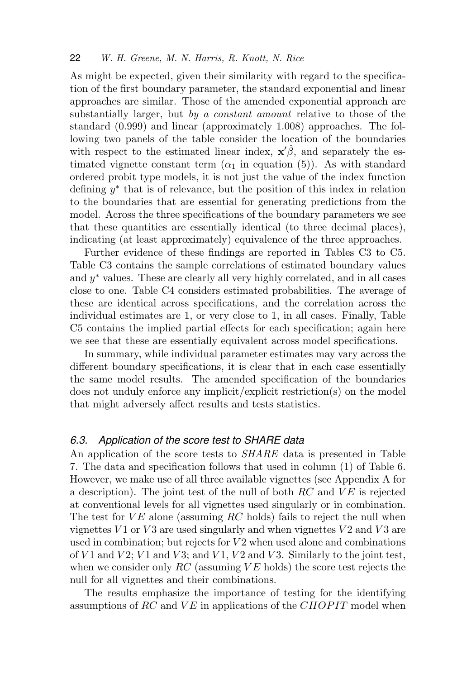As might be expected, given their similarity with regard to the specification of the first boundary parameter, the standard exponential and linear approaches are similar. Those of the amended exponential approach are substantially larger, but by a constant amount relative to those of the standard (0.999) and linear (approximately 1.008) approaches. The following two panels of the table consider the location of the boundaries with respect to the estimated linear index,  $\mathbf{x}'\hat{\beta}$ , and separately the estimated vignette constant term  $(\alpha_1$  in equation (5)). As with standard ordered probit type models, it is not just the value of the index function defining  $y^*$  that is of relevance, but the position of this index in relation to the boundaries that are essential for generating predictions from the model. Across the three specifications of the boundary parameters we see that these quantities are essentially identical (to three decimal places), indicating (at least approximately) equivalence of the three approaches.

Further evidence of these findings are reported in Tables C3 to C5. Table C3 contains the sample correlations of estimated boundary values and  $y^*$  values. These are clearly all very highly correlated, and in all cases close to one. Table C4 considers estimated probabilities. The average of these are identical across specifications, and the correlation across the individual estimates are 1, or very close to 1, in all cases. Finally, Table C5 contains the implied partial effects for each specification; again here we see that these are essentially equivalent across model specifications.

In summary, while individual parameter estimates may vary across the different boundary specifications, it is clear that in each case essentially the same model results. The amended specification of the boundaries does not unduly enforce any implicit/explicit restriction(s) on the model that might adversely affect results and tests statistics.

#### *6.3. Application of the score test to SHARE data*

An application of the score tests to *SHARE* data is presented in Table 7. The data and specification follows that used in column (1) of Table 6. However, we make use of all three available vignettes (see Appendix A for a description). The joint test of the null of both  $RC$  and  $VE$  is rejected at conventional levels for all vignettes used singularly or in combination. The test for  $VE$  alone (assuming RC holds) fails to reject the null when vignettes  $V1$  or  $V3$  are used singularly and when vignettes  $V2$  and  $V3$  are used in combination; but rejects for  $V2$  when used alone and combinations of  $V1$  and  $V2$ ;  $V1$  and  $V3$ ; and  $V1$ ,  $V2$  and  $V3$ . Similarly to the joint test, when we consider only  $RC$  (assuming  $VE$  holds) the score test rejects the null for all vignettes and their combinations.

The results emphasize the importance of testing for the identifying assumptions of RC and  $VE$  in applications of the CHOPIT model when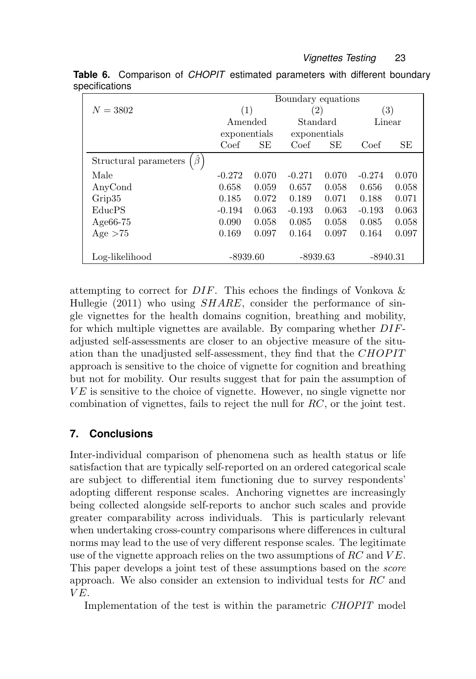|                                        | Boundary equations |       |              |          |                   |        |
|----------------------------------------|--------------------|-------|--------------|----------|-------------------|--------|
| $N = 3802$                             | (1)                |       | (2)          |          | $\left( 3\right)$ |        |
|                                        | Amended            |       |              | Standard |                   | Linear |
|                                        | exponentials       |       | exponentials |          |                   |        |
|                                        | Coef               | SE    | Coef         | SЕ       | Coef              | SЕ     |
| $\hat{\beta}$<br>Structural parameters |                    |       |              |          |                   |        |
| Male                                   | $-0.272$           | 0.070 | $-0.271$     | 0.070    | $-0.274$          | 0.070  |
| AnyCond                                | 0.658              | 0.059 | 0.657        | 0.058    | 0.656             | 0.058  |
| Grip35                                 | 0.185              | 0.072 | 0.189        | 0.071    | 0.188             | 0.071  |
| EducPS                                 | $-0.194$           | 0.063 | $-0.193$     | 0.063    | $-0.193$          | 0.063  |
| Age $66-75$                            | 0.090              | 0.058 | 0.085        | 0.058    | 0.085             | 0.058  |
| Age > 75                               | 0.169              | 0.097 | 0.164        | 0.097    | 0.164             | 0.097  |
|                                        |                    |       |              |          |                   |        |
| Log-likelihood                         | $-8939.60$         |       | $-8939.63$   |          | $-8940.31$        |        |

**Table 6.** Comparison of *CHOPIT* estimated parameters with different boundary specifications

attempting to correct for  $DIF$ . This echoes the findings of Vonkova  $\&$ Hullegie  $(2011)$  who using  $SHARE$ , consider the performance of single vignettes for the health domains cognition, breathing and mobility, for which multiple vignettes are available. By comparing whether DIFadjusted self-assessments are closer to an objective measure of the situation than the unadjusted self-assessment, they find that the CHOPIT approach is sensitive to the choice of vignette for cognition and breathing but not for mobility. Our results suggest that for pain the assumption of  $VE$  is sensitive to the choice of vignette. However, no single vignette nor combination of vignettes, fails to reject the null for RC, or the joint test.

### **7. Conclusions**

Inter-individual comparison of phenomena such as health status or life satisfaction that are typically self-reported on an ordered categorical scale are subject to differential item functioning due to survey respondents' adopting different response scales. Anchoring vignettes are increasingly being collected alongside self-reports to anchor such scales and provide greater comparability across individuals. This is particularly relevant when undertaking cross-country comparisons where differences in cultural norms may lead to the use of very different response scales. The legitimate use of the vignette approach relies on the two assumptions of  $RC$  and  $VE$ . This paper develops a joint test of these assumptions based on the score approach. We also consider an extension to individual tests for RC and  $VE.$ 

Implementation of the test is within the parametric CHOPIT model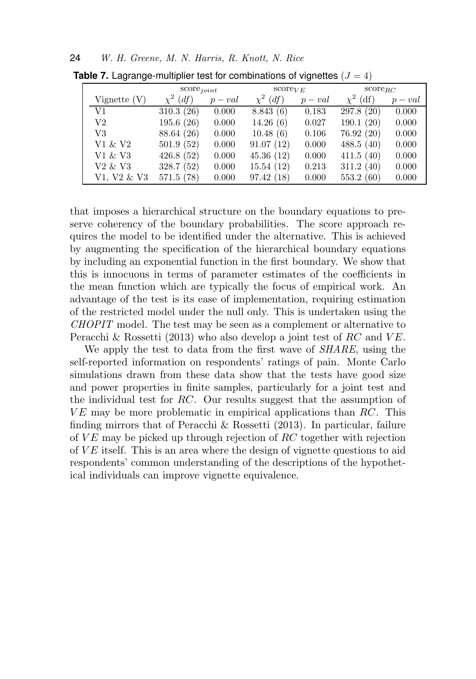|                                 | $score_{joint}$ |         | $score_{VE}$     |         | $score_{BC}$     |         |  |
|---------------------------------|-----------------|---------|------------------|---------|------------------|---------|--|
| Vignette $(V)$                  | $\chi^2$ (df)   | $p-val$ | $\chi^2$<br>(df) | $p-val$ | $\chi^2$<br>(df) | $p-val$ |  |
| V1                              | 310.3(26)       | 0.000   | 8.843(6)         | 0.183   | 297.8(20)        | 0.000   |  |
| V2                              | 195.6(26)       | 0.000   | 14.26(6)         | 0.027   | 190.1(20)        | 0.000   |  |
| V3                              | 88.64 (26)      | 0.000   | 10.48(6)         | 0.106   | 76.92(20)        | 0.000   |  |
| V1 & V2                         | 501.9(52)       | 0.000   | 91.07(12)        | 0.000   | 488.5(40)        | 0.000   |  |
| V1 & V3                         | 426.8(52)       | 0.000   | 45.36(12)        | 0.000   | 411.5(40)        | 0.000   |  |
| V <sub>2</sub> & V <sub>3</sub> | 328.7(52)       | 0.000   | 15.54(12)        | 0.213   | 311.2(40)        | 0.000   |  |
| V1. V2 & V3                     | 571.5(78)       | 0.000   | 97.42(18)        | 0.000   | 553.2(60)        | 0.000   |  |

**Table 7.** Lagrange-multiplier test for combinations of vignettes  $(J = 4)$ 

that imposes a hierarchical structure on the boundary equations to preserve coherency of the boundary probabilities. The score approach requires the model to be identified under the alternative. This is achieved by augmenting the specification of the hierarchical boundary equations by including an exponential function in the first boundary. We show that this is innocuous in terms of parameter estimates of the coefficients in the mean function which are typically the focus of empirical work. An advantage of the test is its ease of implementation, requiring estimation of the restricted model under the null only. This is undertaken using the CHOPIT model. The test may be seen as a complement or alternative to Peracchi & Rossetti (2013) who also develop a joint test of RC and  $VE$ .

We apply the test to data from the first wave of *SHARE*, using the self-reported information on respondents' ratings of pain. Monte Carlo simulations drawn from these data show that the tests have good size and power properties in finite samples, particularly for a joint test and the individual test for RC. Our results suggest that the assumption of  $VE$  may be more problematic in empirical applications than  $RC$ . This finding mirrors that of Peracchi & Rossetti (2013). In particular, failure of  $VE$  may be picked up through rejection of  $RC$  together with rejection of  $VE$  itself. This is an area where the design of vignette questions to aid respondents' common understanding of the descriptions of the hypothetical individuals can improve vignette equivalence.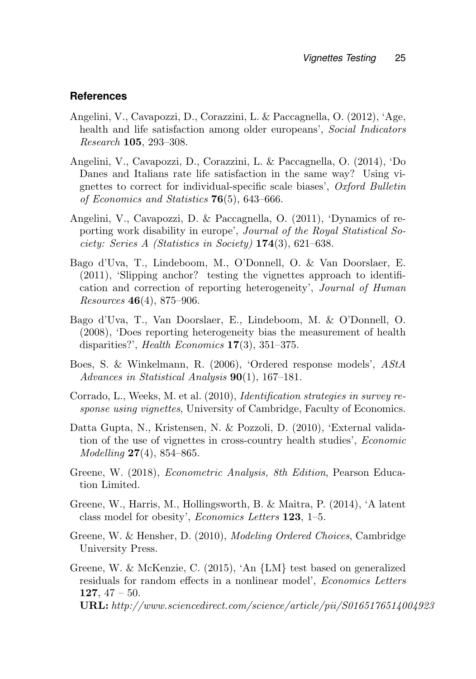### **References**

- Angelini, V., Cavapozzi, D., Corazzini, L. & Paccagnella, O. (2012), 'Age, health and life satisfaction among older europeans', Social Indicators Research 105, 293–308.
- Angelini, V., Cavapozzi, D., Corazzini, L. & Paccagnella, O. (2014), 'Do Danes and Italians rate life satisfaction in the same way? Using vignettes to correct for individual-specific scale biases', Oxford Bulletin of Economics and Statistics  $76(5)$ , 643–666.
- Angelini, V., Cavapozzi, D. & Paccagnella, O. (2011), 'Dynamics of reporting work disability in europe', Journal of the Royal Statistical Society: Series A (Statistics in Society) 174(3), 621–638.
- Bago d'Uva, T., Lindeboom, M., O'Donnell, O. & Van Doorslaer, E. (2011), 'Slipping anchor? testing the vignettes approach to identification and correction of reporting heterogeneity', Journal of Human  $Resources \, 46(4),\, 875-906.$
- Bago d'Uva, T., Van Doorslaer, E., Lindeboom, M. & O'Donnell, O. (2008), 'Does reporting heterogeneity bias the measurement of health disparities?', Health Economics 17(3), 351–375.
- Boes, S. & Winkelmann, R. (2006), 'Ordered response models', AStA Advances in Statistical Analysis  $90(1)$ , 167-181.
- Corrado, L., Weeks, M. et al. (2010), Identification strategies in survey response using vignettes, University of Cambridge, Faculty of Economics.
- Datta Gupta, N., Kristensen, N. & Pozzoli, D. (2010), 'External validation of the use of vignettes in cross-country health studies', Economic  $Modelling$  **27**(4), 854–865.
- Greene, W. (2018), Econometric Analysis, 8th Edition, Pearson Education Limited.
- Greene, W., Harris, M., Hollingsworth, B. & Maitra, P. (2014), 'A latent class model for obesity', Economics Letters 123, 1–5.
- Greene, W. & Hensher, D. (2010), Modeling Ordered Choices, Cambridge University Press.
- Greene, W. & McKenzie, C. (2015), 'An {LM} test based on generalized residuals for random effects in a nonlinear model', Economics Letters 127,  $47 - 50$ . URL: http://www.sciencedirect.com/science/article/pii/S0165176514004923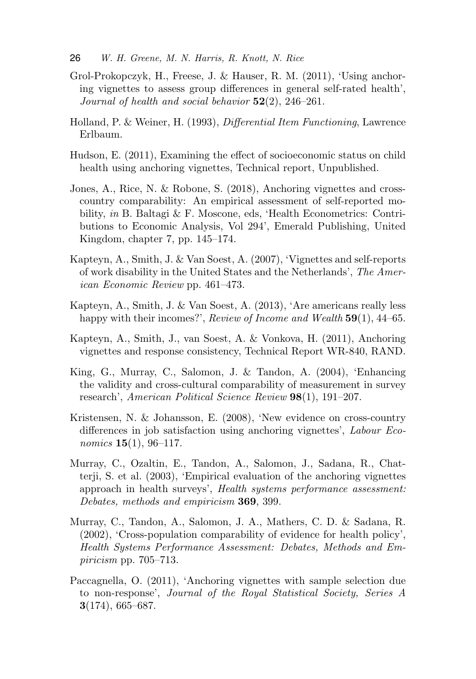- Grol-Prokopczyk, H., Freese, J. & Hauser, R. M. (2011), 'Using anchoring vignettes to assess group differences in general self-rated health', Journal of health and social behavior  $52(2)$ ,  $246-261$ .
- Holland, P. & Weiner, H. (1993), Differential Item Functioning, Lawrence Erlbaum.
- Hudson, E. (2011), Examining the effect of socioeconomic status on child health using anchoring vignettes, Technical report, Unpublished.
- Jones, A., Rice, N. & Robone, S. (2018), Anchoring vignettes and crosscountry comparability: An empirical assessment of self-reported mobility, in B. Baltagi & F. Moscone, eds, 'Health Econometrics: Contributions to Economic Analysis, Vol 294', Emerald Publishing, United Kingdom, chapter 7, pp. 145–174.
- Kapteyn, A., Smith, J. & Van Soest, A. (2007), 'Vignettes and self-reports of work disability in the United States and the Netherlands', The American Economic Review pp. 461–473.
- Kapteyn, A., Smith, J. & Van Soest, A. (2013), 'Are americans really less happy with their incomes?', Review of Income and Wealth 59(1), 44–65.
- Kapteyn, A., Smith, J., van Soest, A. & Vonkova, H. (2011), Anchoring vignettes and response consistency, Technical Report WR-840, RAND.
- King, G., Murray, C., Salomon, J. & Tandon, A. (2004), 'Enhancing the validity and cross-cultural comparability of measurement in survey research', American Political Science Review 98(1), 191–207.
- Kristensen, N. & Johansson, E. (2008), 'New evidence on cross-country differences in job satisfaction using anchoring vignettes', Labour Economics  $15(1)$ , 96-117.
- Murray, C., Ozaltin, E., Tandon, A., Salomon, J., Sadana, R., Chatterji, S. et al. (2003), 'Empirical evaluation of the anchoring vignettes approach in health surveys', Health systems performance assessment: Debates, methods and empiricism **369**, 399.
- Murray, C., Tandon, A., Salomon, J. A., Mathers, C. D. & Sadana, R. (2002), 'Cross-population comparability of evidence for health policy', Health Systems Performance Assessment: Debates, Methods and Empiricism pp. 705–713.
- Paccagnella, O. (2011), 'Anchoring vignettes with sample selection due to non-response', Journal of the Royal Statistical Society, Series A 3(174), 665–687.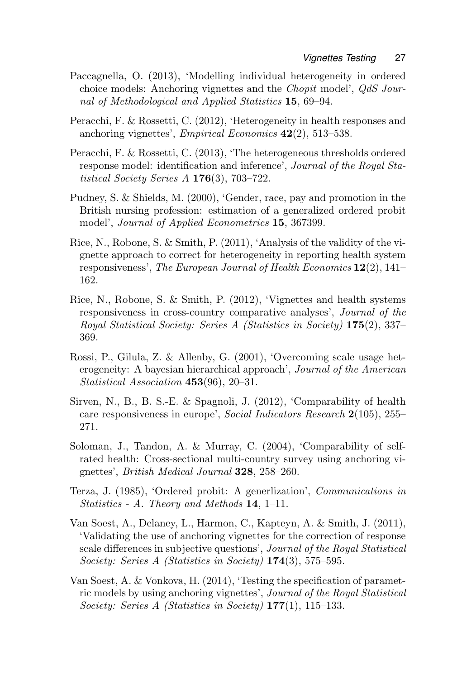- Paccagnella, O. (2013), 'Modelling individual heterogeneity in ordered choice models: Anchoring vignettes and the Chopit model', QdS Journal of Methodological and Applied Statistics 15, 69–94.
- Peracchi, F. & Rossetti, C. (2012), 'Heterogeneity in health responses and anchoring vignettes', *Empirical Economics*  $42(2)$ , 513–538.
- Peracchi, F. & Rossetti, C. (2013), 'The heterogeneous thresholds ordered response model: identification and inference', Journal of the Royal Statistical Society Series  $A$  176(3), 703–722.
- Pudney, S. & Shields, M. (2000), 'Gender, race, pay and promotion in the British nursing profession: estimation of a generalized ordered probit model', Journal of Applied Econometrics 15, 367399.
- Rice, N., Robone, S. & Smith, P. (2011), 'Analysis of the validity of the vignette approach to correct for heterogeneity in reporting health system responsiveness', The European Journal of Health Economics  $12(2)$ , 141– 162.
- Rice, N., Robone, S. & Smith, P. (2012), 'Vignettes and health systems responsiveness in cross-country comparative analyses', Journal of the Royal Statistical Society: Series A (Statistics in Society) 175(2), 337– 369.
- Rossi, P., Gilula, Z. & Allenby, G. (2001), 'Overcoming scale usage heterogeneity: A bayesian hierarchical approach', Journal of the American Statistical Association 453(96), 20–31.
- Sirven, N., B., B. S.-E. & Spagnoli, J. (2012), 'Comparability of health care responsiveness in europe', Social Indicators Research 2(105), 255– 271.
- Soloman, J., Tandon, A. & Murray, C. (2004), 'Comparability of selfrated health: Cross-sectional multi-country survey using anchoring vignettes', British Medical Journal 328, 258–260.
- Terza, J. (1985), 'Ordered probit: A generlization', Communications in Statistics - A. Theory and Methods  $14$ ,  $1-11$ .
- Van Soest, A., Delaney, L., Harmon, C., Kapteyn, A. & Smith, J. (2011), 'Validating the use of anchoring vignettes for the correction of response scale differences in subjective questions', Journal of the Royal Statistical Society: Series A (Statistics in Society) 174(3), 575–595.
- Van Soest, A. & Vonkova, H. (2014), 'Testing the specification of parametric models by using anchoring vignettes', Journal of the Royal Statistical Society: Series A (Statistics in Society)  $177(1)$ ,  $115-133$ .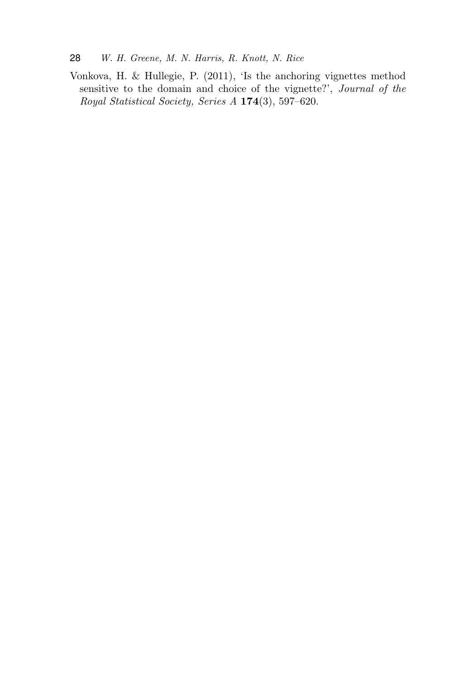Vonkova, H. & Hullegie, P. (2011), 'Is the anchoring vignettes method sensitive to the domain and choice of the vignette?', Journal of the Royal Statistical Society, Series A 174(3), 597–620.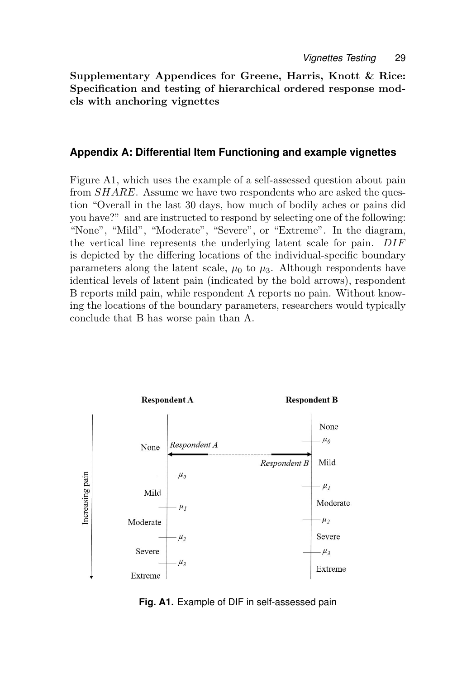Supplementary Appendices for Greene, Harris, Knott & Rice: Specification and testing of hierarchical ordered response models with anchoring vignettes

### **Appendix A: Differential Item Functioning and example vignettes**

Figure A1, which uses the example of a self-assessed question about pain from SHARE. Assume we have two respondents who are asked the question "Overall in the last 30 days, how much of bodily aches or pains did you have?" and are instructed to respond by selecting one of the following: "None", "Mild", "Moderate", "Severe", or "Extreme". In the diagram, the vertical line represents the underlying latent scale for pain. DIF is depicted by the differing locations of the individual-specific boundary parameters along the latent scale,  $\mu_0$  to  $\mu_3$ . Although respondents have identical levels of latent pain (indicated by the bold arrows), respondent B reports mild pain, while respondent A reports no pain. Without knowing the locations of the boundary parameters, researchers would typically conclude that B has worse pain than A.



**Fig. A1.** Example of DIF in self-assessed pain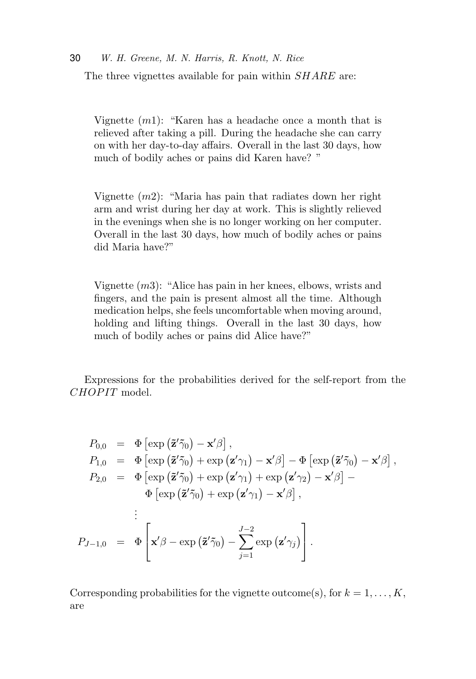Vignette  $(m1)$ : "Karen has a headache once a month that is relieved after taking a pill. During the headache she can carry on with her day-to-day affairs. Overall in the last 30 days, how much of bodily aches or pains did Karen have? "

Vignette  $(m2)$ : "Maria has pain that radiates down her right arm and wrist during her day at work. This is slightly relieved in the evenings when she is no longer working on her computer. Overall in the last 30 days, how much of bodily aches or pains did Maria have?"

Vignette  $(m3)$ : "Alice has pain in her knees, elbows, wrists and fingers, and the pain is present almost all the time. Although medication helps, she feels uncomfortable when moving around, holding and lifting things. Overall in the last 30 days, how much of bodily aches or pains did Alice have?"

Expressions for the probabilities derived for the self-report from the CHOPIT model.

$$
P_{0,0} = \Phi \left[\exp\left(\tilde{\mathbf{z}}'\tilde{\gamma}_0\right) - \mathbf{x}'\beta\right],
$$
  
\n
$$
P_{1,0} = \Phi \left[\exp\left(\tilde{\mathbf{z}}'\tilde{\gamma}_0\right) + \exp\left(\mathbf{z}'\gamma_1\right) - \mathbf{x}'\beta\right] - \Phi \left[\exp\left(\tilde{\mathbf{z}}'\tilde{\gamma}_0\right) - \mathbf{x}'\beta\right],
$$
  
\n
$$
P_{2,0} = \Phi \left[\exp\left(\tilde{\mathbf{z}}'\tilde{\gamma}_0\right) + \exp\left(\mathbf{z}'\gamma_1\right) + \exp\left(\mathbf{z}'\gamma_2\right) - \mathbf{x}'\beta\right] -
$$
  
\n
$$
\Phi \left[\exp\left(\tilde{\mathbf{z}}'\tilde{\gamma}_0\right) + \exp\left(\mathbf{z}'\gamma_1\right) - \mathbf{x}'\beta\right],
$$
  
\n
$$
\vdots
$$
  
\n
$$
P_{J-1,0} = \Phi \left[\mathbf{x}'\beta - \exp\left(\tilde{\mathbf{z}}'\tilde{\gamma}_0\right) - \sum_{j=1}^{J-2} \exp\left(\mathbf{z}'\gamma_j\right)\right].
$$

Corresponding probabilities for the vignette outcome(s), for  $k = 1, \ldots, K$ , are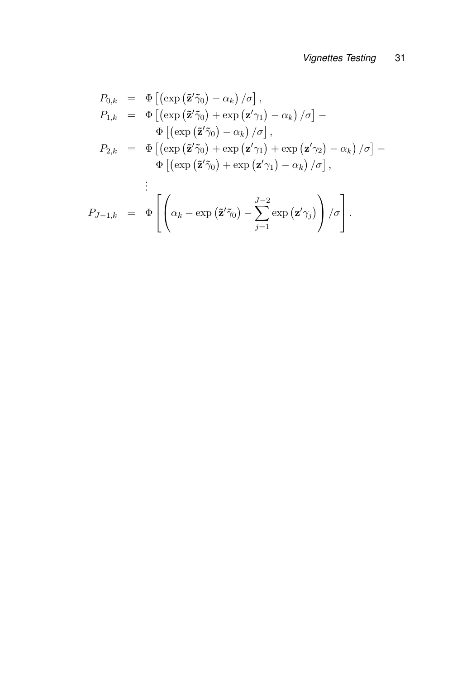$$
P_{0,k} = \Phi \left[ \left( \exp \left( \tilde{\mathbf{z}}' \tilde{\gamma}_0 \right) - \alpha_k \right) / \sigma \right],
$$
  
\n
$$
P_{1,k} = \Phi \left[ \left( \exp \left( \tilde{\mathbf{z}}' \tilde{\gamma}_0 \right) + \exp \left( \mathbf{z}' \gamma_1 \right) - \alpha_k \right) / \sigma \right] -
$$
  
\n
$$
\Phi \left[ \left( \exp \left( \tilde{\mathbf{z}}' \tilde{\gamma}_0 \right) - \alpha_k \right) / \sigma \right],
$$
  
\n
$$
P_{2,k} = \Phi \left[ \left( \exp \left( \tilde{\mathbf{z}}' \tilde{\gamma}_0 \right) + \exp \left( \mathbf{z}' \gamma_1 \right) + \exp \left( \mathbf{z}' \gamma_2 \right) - \alpha_k \right) / \sigma \right] -
$$
  
\n
$$
\Phi \left[ \left( \exp \left( \tilde{\mathbf{z}}' \tilde{\gamma}_0 \right) + \exp \left( \mathbf{z}' \gamma_1 \right) - \alpha_k \right) / \sigma \right],
$$
  
\n
$$
\vdots
$$
  
\n
$$
P_{J-1,k} = \Phi \left[ \left( \alpha_k - \exp \left( \tilde{\mathbf{z}}' \tilde{\gamma}_0 \right) - \sum_{j=1}^{J-2} \exp \left( \mathbf{z}' \gamma_j \right) \right) / \sigma \right].
$$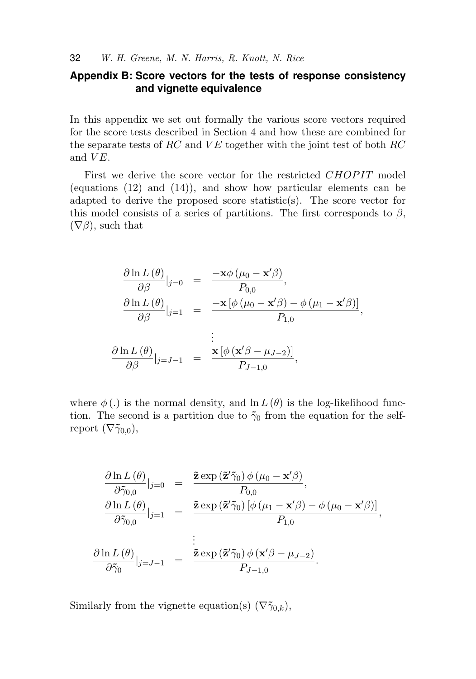### **Appendix B: Score vectors for the tests of response consistency and vignette equivalence**

In this appendix we set out formally the various score vectors required for the score tests described in Section 4 and how these are combined for the separate tests of  $RC$  and  $VE$  together with the joint test of both  $RC$ and  $VE$ .

First we derive the score vector for the restricted *CHOPIT* model (equations (12) and (14)), and show how particular elements can be adapted to derive the proposed score statistic(s). The score vector for this model consists of a series of partitions. The first corresponds to  $\beta$ ,  $(\nabla \beta)$ , such that

$$
\frac{\partial \ln L(\theta)}{\partial \beta}|_{j=0} = \frac{-\mathbf{x}\phi(\mu_0 - \mathbf{x}'\beta)}{P_{0,0}},
$$
  

$$
\frac{\partial \ln L(\theta)}{\partial \beta}|_{j=1} = \frac{-\mathbf{x}[\phi(\mu_0 - \mathbf{x}'\beta) - \phi(\mu_1 - \mathbf{x}'\beta)]}{P_{1,0}},
$$
  

$$
\frac{\partial \ln L(\theta)}{\partial \beta}|_{j=J-1} = \frac{\mathbf{x}[\phi(\mathbf{x}'\beta - \mu_{J-2})]}{P_{J-1,0}},
$$

where  $\phi(.)$  is the normal density, and  $\ln L(\theta)$  is the log-likelihood function. The second is a partition due to  $\tilde{\gamma}_0$  from the equation for the selfreport  $(\nabla \tilde{\gamma}_{0,0}),$ 

$$
\frac{\partial \ln L(\theta)}{\partial \tilde{\gamma}_{0,0}}|_{j=0} = \frac{\tilde{\mathbf{z}} \exp(\tilde{\mathbf{z}}'\tilde{\gamma}_0) \phi(\mu_0 - \mathbf{x}'\beta)}{P_{0,0}},
$$
  

$$
\frac{\partial \ln L(\theta)}{\partial \tilde{\gamma}_{0,0}}|_{j=1} = \frac{\tilde{\mathbf{z}} \exp(\tilde{\mathbf{z}}'\tilde{\gamma}_0) [\phi(\mu_1 - \mathbf{x}'\beta) - \phi(\mu_0 - \mathbf{x}'\beta)]}{P_{1,0}},
$$
  

$$
\frac{\partial \ln L(\theta)}{\partial \tilde{\gamma}_0}|_{j=J-1} = \frac{\tilde{\mathbf{z}} \exp(\tilde{\mathbf{z}}'\tilde{\gamma}_0) \phi(\mathbf{x}'\beta - \mu_{J-2})}{P_{J-1,0}}.
$$

Similarly from the vignette equation(s)  $(\nabla \tilde{\gamma}_{0,k}),$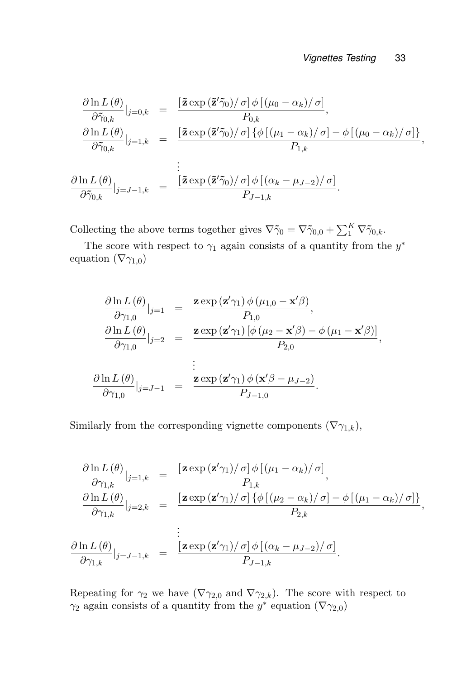$$
\frac{\partial \ln L(\theta)}{\partial \tilde{\gamma}_{0,k}}|_{j=0,k} = \frac{\left[\tilde{\mathbf{z}} \exp\left(\tilde{\mathbf{z}}'\tilde{\gamma}_{0}\right)/\sigma\right] \phi\left[\left(\mu_{0}-\alpha_{k}\right)/\sigma\right]}{P_{0,k}},
$$
\n
$$
\frac{\partial \ln L(\theta)}{\partial \tilde{\gamma}_{0,k}}|_{j=1,k} = \frac{\left[\tilde{\mathbf{z}} \exp\left(\tilde{\mathbf{z}}'\tilde{\gamma}_{0}\right)/\sigma\right] \{\phi\left[\left(\mu_{1}-\alpha_{k}\right)/\sigma\right] - \phi\left[\left(\mu_{0}-\alpha_{k}\right)/\sigma\right]\}}{P_{1,k}},
$$
\n
$$
\frac{\partial \ln L(\theta)}{\partial \tilde{\gamma}_{0,k}}|_{j=J-1,k} = \frac{\left[\tilde{\mathbf{z}} \exp\left(\tilde{\mathbf{z}}'\tilde{\gamma}_{0}\right)/\sigma\right] \phi\left[\left(\alpha_{k}-\mu_{J-2}\right)/\sigma\right]}{P_{J-1,k}}.
$$

Collecting the above terms together gives  $\nabla \tilde{\gamma}_0 = \nabla \tilde{\gamma}_{0,0} + \sum_{1}^{K} \nabla \tilde{\gamma}_{0,k}$ .

The score with respect to  $\gamma_1$  again consists of a quantity from the  $y^*$ equation  $(\nabla \gamma_{1,0})$ 

$$
\frac{\partial \ln L(\theta)}{\partial \gamma_{1,0}}|_{j=1} = \frac{\mathbf{z} \exp(\mathbf{z}'\gamma_1) \phi(\mu_{1,0} - \mathbf{x}'\beta)}{P_{1,0}},
$$
  

$$
\frac{\partial \ln L(\theta)}{\partial \gamma_{1,0}}|_{j=2} = \frac{\mathbf{z} \exp(\mathbf{z}'\gamma_1) [\phi(\mu_2 - \mathbf{x}'\beta) - \phi(\mu_1 - \mathbf{x}'\beta)]}{P_{2,0}},
$$
  

$$
\frac{\partial \ln L(\theta)}{\partial \gamma_{1,0}}|_{j=J-1} = \frac{\mathbf{z} \exp(\mathbf{z}'\gamma_1) \phi(\mathbf{x}'\beta - \mu_{J-2})}{P_{J-1,0}}.
$$

Similarly from the corresponding vignette components  $(\nabla \gamma_{1,k}),$ 

$$
\frac{\partial \ln L(\theta)}{\partial \gamma_{1,k}}|_{j=1,k} = \frac{\left[\mathbf{z}\exp\left(\mathbf{z}'\gamma_{1}\right)/\sigma\right]\phi\left[\left(\mu_{1}-\alpha_{k}\right)/\sigma\right]}{P_{1,k}},
$$
\n
$$
\frac{\partial \ln L(\theta)}{\partial \gamma_{1,k}}|_{j=2,k} = \frac{\left[\mathbf{z}\exp\left(\mathbf{z}'\gamma_{1}\right)/\sigma\right]\left\{\phi\left[\left(\mu_{2}-\alpha_{k}\right)/\sigma\right]-\phi\left[\left(\mu_{1}-\alpha_{k}\right)/\sigma\right]\right\}}{P_{2,k}},
$$
\n
$$
\vdots
$$
\n
$$
\frac{\partial \ln L(\theta)}{\partial \gamma_{1,k}}|_{j=J-1,k} = \frac{\left[\mathbf{z}\exp\left(\mathbf{z}'\gamma_{1}\right)/\sigma\right]\phi\left[\left(\alpha_{k}-\mu_{J-2}\right)/\sigma\right]}{P_{J-1,k}}.
$$

Repeating for  $\gamma_2$  we have  $(\nabla \gamma_{2,0}$  and  $\nabla \gamma_{2,k})$ . The score with respect to  $\gamma_2$  again consists of a quantity from the y<sup>\*</sup> equation ( $\nabla \gamma_{2,0}$ )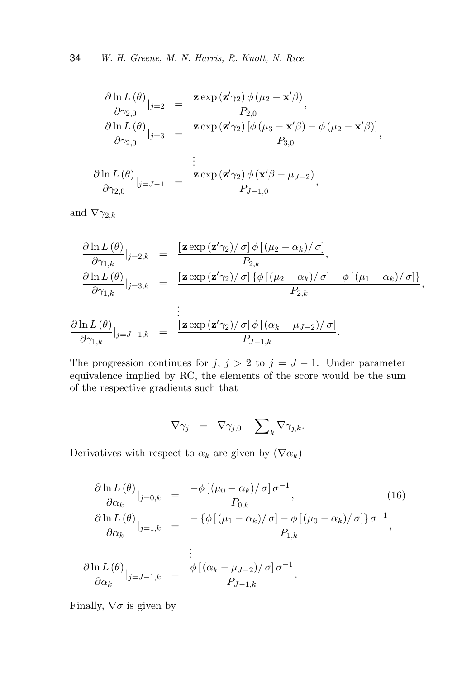$$
\frac{\partial \ln L(\theta)}{\partial \gamma_{2,0}}|_{j=2} = \frac{\mathbf{z} \exp(\mathbf{z}' \gamma_2) \phi(\mu_2 - \mathbf{x}' \beta)}{P_{2,0}},
$$
  

$$
\frac{\partial \ln L(\theta)}{\partial \gamma_{2,0}}|_{j=3} = \frac{\mathbf{z} \exp(\mathbf{z}' \gamma_2) [\phi(\mu_3 - \mathbf{x}' \beta) - \phi(\mu_2 - \mathbf{x}' \beta)]}{P_{3,0}},
$$
  

$$
\frac{\partial \ln L(\theta)}{\partial \gamma_{2,0}}|_{j=J-1} = \frac{\mathbf{z} \exp(\mathbf{z}' \gamma_2) \phi(\mathbf{x}' \beta - \mu_{J-2})}{P_{J-1,0}},
$$

and  $\nabla \gamma_{2,k}$ 

$$
\frac{\partial \ln L(\theta)}{\partial \gamma_{1,k}}|_{j=2,k} = \frac{\left[\mathbf{z}\exp\left(\mathbf{z}'\gamma_{2}\right)/\sigma\right]\phi\left[\left(\mu_{2}-\alpha_{k}\right)/\sigma\right]}{P_{2,k}},
$$
\n
$$
\frac{\partial \ln L(\theta)}{\partial \gamma_{1,k}}|_{j=3,k} = \frac{\left[\mathbf{z}\exp\left(\mathbf{z}'\gamma_{2}\right)/\sigma\right]\left\{\phi\left[\left(\mu_{2}-\alpha_{k}\right)/\sigma\right]-\phi\left[\left(\mu_{1}-\alpha_{k}\right)/\sigma\right]\right\}}{P_{2,k}},
$$
\n
$$
\vdots
$$
\n
$$
\frac{\partial \ln L(\theta)}{\partial \gamma_{1,k}}|_{j=J-1,k} = \frac{\left[\mathbf{z}\exp\left(\mathbf{z}'\gamma_{2}\right)/\sigma\right]\phi\left[\left(\alpha_{k}-\mu_{J-2}\right)/\sigma\right]}{P_{J-1,k}}.
$$

The progression continues for  $j, j > 2$  to  $j = J - 1$ . Under parameter equivalence implied by RC, the elements of the score would be the sum of the respective gradients such that

$$
\nabla \gamma_j = \nabla \gamma_{j,0} + \sum\nolimits_k \nabla \gamma_{j,k}.
$$

Derivatives with respect to  $\alpha_k$  are given by  $(\nabla \alpha_k)$ 

$$
\frac{\partial \ln L(\theta)}{\partial \alpha_k}|_{j=0,k} = \frac{-\phi [(\mu_0 - \alpha_k)/\sigma] \sigma^{-1}}{P_{0,k}},
$$
\n
$$
\frac{\partial \ln L(\theta)}{\partial \alpha_k}|_{j=1,k} = \frac{-\{\phi [(\mu_1 - \alpha_k)/\sigma] - \phi [(\mu_0 - \alpha_k)/\sigma] \}\sigma^{-1}}{P_{1,k}},
$$
\n
$$
\vdots
$$
\n
$$
\frac{\partial \ln L(\theta)}{\partial \alpha_k}|_{j=J-1,k} = \frac{\phi [(\alpha_k - \mu_{J-2})/\sigma] \sigma^{-1}}{P_{J-1,k}}.
$$
\n(16)

Finally,  $\nabla \sigma$  is given by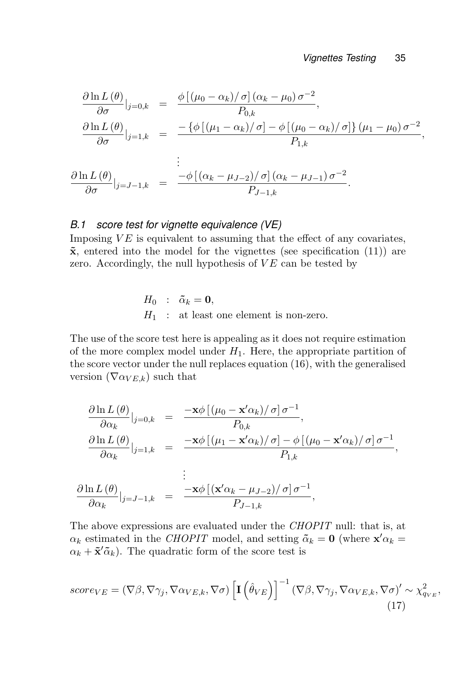$$
\frac{\partial \ln L(\theta)}{\partial \sigma}|_{j=0,k} = \frac{\phi [(\mu_0 - \alpha_k)/\sigma] (\alpha_k - \mu_0) \sigma^{-2}}{P_{0,k}},
$$
  

$$
\frac{\partial \ln L(\theta)}{\partial \sigma}|_{j=1,k} = \frac{-\{\phi [(\mu_1 - \alpha_k)/\sigma] - \phi [(\mu_0 - \alpha_k)/\sigma] \} (\mu_1 - \mu_0) \sigma^{-2}}{P_{1,k}},
$$
  

$$
\frac{\partial \ln L(\theta)}{\partial \sigma}|_{j=J-1,k} = \frac{-\phi [(\alpha_k - \mu_{J-2})/\sigma] (\alpha_k - \mu_{J-1}) \sigma^{-2}}{P_{J-1,k}}.
$$

#### *B.1 score test for vignette equivalence (VE)*

Imposing  $VE$  is equivalent to assuming that the effect of any covariates,  $\tilde{\mathbf{x}}$ , entered into the model for the vignettes (see specification (11)) are zero. Accordingly, the null hypothesis of  $VE$  can be tested by

$$
H_0 : \tilde{\alpha}_k = \mathbf{0},
$$
  

$$
H_1 : \text{at least one element is non-zero.}
$$

The use of the score test here is appealing as it does not require estimation of the more complex model under  $H_1$ . Here, the appropriate partition of the score vector under the null replaces equation (16), with the generalised version  $(\nabla \alpha_{VE,k})$  such that

$$
\frac{\partial \ln L(\theta)}{\partial \alpha_k}|_{j=0,k} = \frac{-\mathbf{x}\phi [(\mu_0 - \mathbf{x}'\alpha_k)/\sigma]\sigma^{-1}}{P_{0,k}},
$$
  

$$
\frac{\partial \ln L(\theta)}{\partial \alpha_k}|_{j=1,k} = \frac{-\mathbf{x}\phi [(\mu_1 - \mathbf{x}'\alpha_k)/\sigma] - \phi [(\mu_0 - \mathbf{x}'\alpha_k)/\sigma]\sigma^{-1}}{P_{1,k}},
$$
  

$$
\frac{\partial \ln L(\theta)}{\partial \alpha_k}|_{j=J-1,k} = \frac{-\mathbf{x}\phi [(\mathbf{x}'\alpha_k - \mu_{J-2})/\sigma]\sigma^{-1}}{P_{J-1,k}},
$$

The above expressions are evaluated under the *CHOPIT* null: that is, at  $\alpha_k$  estimated in the *CHOPIT* model, and setting  $\tilde{\alpha}_k = 0$  (where  $\mathbf{x}' \alpha_k =$  $\alpha_k + \tilde{\mathbf{x}}' \tilde{\alpha}_k$ . The quadratic form of the score test is

$$
score_{VE} = (\nabla \beta, \nabla \gamma_j, \nabla \alpha_{VE,k}, \nabla \sigma) \left[ \mathbf{I} \left( \hat{\theta}_{VE} \right) \right]^{-1} (\nabla \beta, \nabla \gamma_j, \nabla \alpha_{VE,k}, \nabla \sigma)' \sim \chi_{q_{VE}}^2,
$$
\n(17)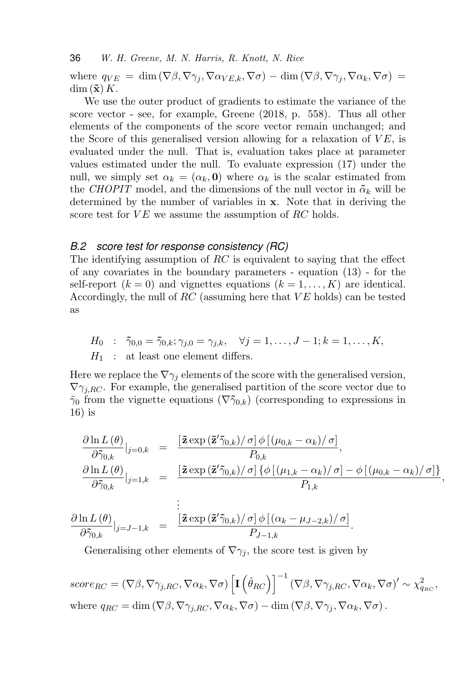where  $q_{VE} = \dim (\nabla \beta, \nabla \gamma_i, \nabla \alpha_{VE,k}, \nabla \sigma) - \dim (\nabla \beta, \nabla \gamma_i, \nabla \alpha_k, \nabla \sigma) =$  $\dim (\mathbf{\tilde{x}}) K$ .

We use the outer product of gradients to estimate the variance of the score vector - see, for example, Greene (2018, p. 558). Thus all other elements of the components of the score vector remain unchanged; and the Score of this generalised version allowing for a relaxation of  $VE$ , is evaluated under the null. That is, evaluation takes place at parameter values estimated under the null. To evaluate expression (17) under the null, we simply set  $\alpha_k = (\alpha_k, \mathbf{0})$  where  $\alpha_k$  is the scalar estimated from the CHOPIT model, and the dimensions of the null vector in  $\tilde{\alpha}_k$  will be determined by the number of variables in x. Note that in deriving the score test for  $VE$  we assume the assumption of  $RC$  holds.

#### *B.2 score test for response consistency (RC)*

The identifying assumption of  $RC$  is equivalent to saying that the effect of any covariates in the boundary parameters - equation (13) - for the self-report  $(k = 0)$  and vignettes equations  $(k = 1, ..., K)$  are identical. Accordingly, the null of  $RC$  (assuming here that  $VE$  holds) can be tested as

 $H_0 : \tilde{\gamma}_{0,0} = \tilde{\gamma}_{0,k}; \gamma_{i,0} = \gamma_{i,k}, \quad \forall j = 1, \ldots, J-1; k = 1, \ldots, K,$  $H_1$ : at least one element differs.

Here we replace the  $\nabla \gamma_i$  elements of the score with the generalised version,  $\nabla \gamma_{iRC}$ . For example, the generalised partition of the score vector due to  $\tilde{\gamma}_0$  from the vignette equations  $(\nabla \tilde{\gamma}_{0,k})$  (corresponding to expressions in 16) is

$$
\frac{\partial \ln L(\theta)}{\partial \tilde{\gamma}_{0,k}}|_{j=0,k} = \frac{\left[\tilde{\mathbf{z}} \exp\left(\tilde{\mathbf{z}}'\tilde{\gamma}_{0,k}\right)/\sigma\right] \phi\left[\left(\mu_{0,k} - \alpha_k\right)/\sigma\right]}{P_{0,k}},
$$
\n
$$
\frac{\partial \ln L(\theta)}{\partial \tilde{\gamma}_{0,k}}|_{j=1,k} = \frac{\left[\tilde{\mathbf{z}} \exp\left(\tilde{\mathbf{z}}'\tilde{\gamma}_{0,k}\right)/\sigma\right] \{\phi\left[\left(\mu_{1,k} - \alpha_k\right)/\sigma\right] - \phi\left[\left(\mu_{0,k} - \alpha_k\right)/\sigma\right]\}}{P_{1,k}},
$$

$$
\frac{\partial \ln L(\theta)}{\partial \tilde{\gamma}_{0,k}}|_{j=J-1,k} = \frac{\left[\tilde{\mathbf{z}} \exp\left(\tilde{\mathbf{z}}'\tilde{\gamma}_{0,k}\right)/\sigma\right] \phi\left[(\alpha_k - \mu_{J-2,k})/\sigma\right]}{P_{J-1,k}}.
$$

Generalising other elements of  $\nabla \gamma_i$ , the score test is given by

 $score_{RC} = (\nabla \beta, \nabla \gamma_{j, RC}, \nabla \alpha_k, \nabla \sigma) \left[ \mathbf{I} \left( \hat{\theta}_{RC} \right) \right]^{-1} (\nabla \beta, \nabla \gamma_{j, RC}, \nabla \alpha_k, \nabla \sigma)' \sim \chi^2_{q_{RC}},$ where  $q_{RC} = \dim (\nabla \beta, \nabla \gamma_{j, RC}, \nabla \alpha_k, \nabla \sigma) - \dim (\nabla \beta, \nabla \gamma_j, \nabla \alpha_k, \nabla \sigma)$ .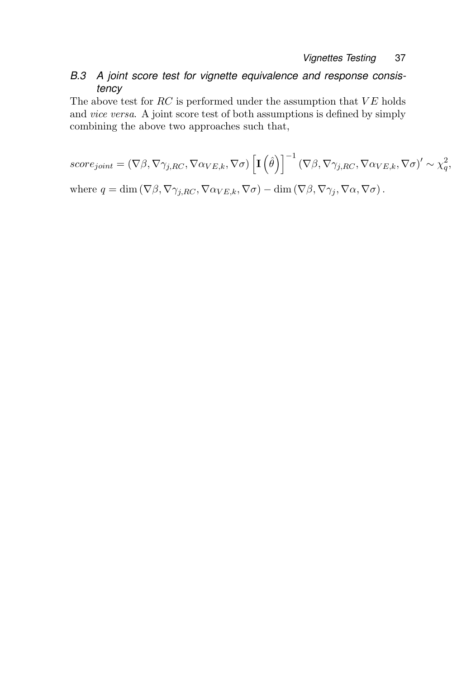### *B.3 A joint score test for vignette equivalence and response consistency*

The above test for  $RC$  is performed under the assumption that  $VE$  holds and vice versa. A joint score test of both assumptions is defined by simply combining the above two approaches such that,

$$
score_{joint} = (\nabla \beta, \nabla \gamma_{j,RC}, \nabla \alpha_{VE,k}, \nabla \sigma) \left[ \mathbf{I} \left( \hat{\theta} \right) \right]^{-1} (\nabla \beta, \nabla \gamma_{j,RC}, \nabla \alpha_{VE,k}, \nabla \sigma)' \sim \chi_q^2,
$$
  
where  $q = \dim (\nabla \beta, \nabla \gamma_{j,RC}, \nabla \alpha_{VE,k}, \nabla \sigma) - \dim (\nabla \beta, \nabla \gamma_{j}, \nabla \alpha, \nabla \sigma).$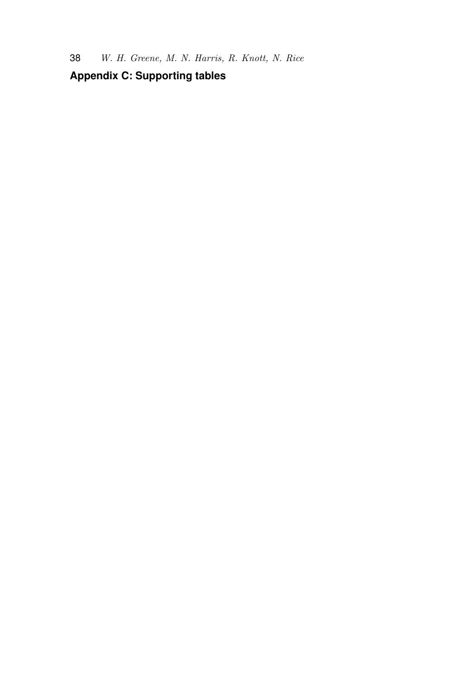## **Appendix C: Supporting tables**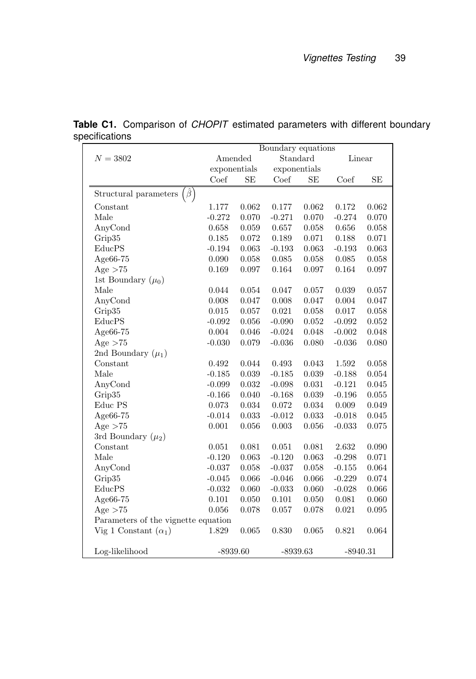|                                          | Boundary equations |       |              |       |            |       |  |
|------------------------------------------|--------------------|-------|--------------|-------|------------|-------|--|
| $N = 3802$                               | Amended            |       | Standard     |       | Linear     |       |  |
|                                          | exponentials       |       | exponentials |       |            |       |  |
|                                          | Coef               | SE    | Coef         | SЕ    | Coef       | SE    |  |
| $\hat{\beta}$ )<br>Structural parameters |                    |       |              |       |            |       |  |
| Constant                                 | 1.177              | 0.062 | 0.177        | 0.062 | 0.172      | 0.062 |  |
| Male                                     | $-0.272$           | 0.070 | $-0.271$     | 0.070 | $-0.274$   | 0.070 |  |
| AnyCond                                  | 0.658              | 0.059 | 0.657        | 0.058 | 0.656      | 0.058 |  |
| Grip35                                   | 0.185              | 0.072 | 0.189        | 0.071 | 0.188      | 0.071 |  |
| EducPS                                   | $-0.194$           | 0.063 | $-0.193$     | 0.063 | $-0.193$   | 0.063 |  |
| Age66-75                                 | 0.090              | 0.058 | 0.085        | 0.058 | 0.085      | 0.058 |  |
| Age $>75$                                | 0.169              | 0.097 | 0.164        | 0.097 | 0.164      | 0.097 |  |
| 1st Boundary $(\mu_0)$                   |                    |       |              |       |            |       |  |
| Male                                     | 0.044              | 0.054 | 0.047        | 0.057 | 0.039      | 0.057 |  |
| AnyCond                                  | 0.008              | 0.047 | 0.008        | 0.047 | 0.004      | 0.047 |  |
| Grip35                                   | 0.015              | 0.057 | $\,0.021\,$  | 0.058 | 0.017      | 0.058 |  |
| EducPS                                   | $-0.092$           | 0.056 | $-0.090$     | 0.052 | $-0.092$   | 0.052 |  |
| Age66-75                                 | 0.004              | 0.046 | $-0.024$     | 0.048 | $-0.002$   | 0.048 |  |
| Age $>75$                                | $-0.030$           | 0.079 | $-0.036$     | 0.080 | $-0.036$   | 0.080 |  |
| 2nd Boundary $(\mu_1)$                   |                    |       |              |       |            |       |  |
| Constant                                 | 0.492              | 0.044 | 0.493        | 0.043 | 1.592      | 0.058 |  |
| Male                                     | $-0.185$           | 0.039 | $-0.185$     | 0.039 | $-0.188$   | 0.054 |  |
| AnyCond                                  | $-0.099$           | 0.032 | $-0.098$     | 0.031 | $-0.121$   | 0.045 |  |
| Grip35                                   | $-0.166$           | 0.040 | $-0.168$     | 0.039 | $-0.196$   | 0.055 |  |
| Educ PS                                  | 0.073              | 0.034 | 0.072        | 0.034 | 0.009      | 0.049 |  |
| Age66-75                                 | $-0.014$           | 0.033 | $-0.012$     | 0.033 | $-0.018$   | 0.045 |  |
| Age $>75$                                | 0.001              | 0.056 | 0.003        | 0.056 | $-0.033$   | 0.075 |  |
| 3rd Boundary $(\mu_2)$                   |                    |       |              |       |            |       |  |
| Constant                                 | 0.051              | 0.081 | 0.051        | 0.081 | 2.632      | 0.090 |  |
| Male                                     | $-0.120$           | 0.063 | $-0.120$     | 0.063 | $-0.298$   | 0.071 |  |
| AnyCond                                  | $-0.037$           | 0.058 | $-0.037$     | 0.058 | $-0.155$   | 0.064 |  |
| Grip35                                   | $-0.045$           | 0.066 | $-0.046$     | 0.066 | $-0.229$   | 0.074 |  |
| EducPS                                   | $-0.032$           | 0.060 | $-0.033$     | 0.060 | $-0.028$   | 0.066 |  |
| Age66-75                                 | 0.101              | 0.050 | 0.101        | 0.050 | 0.081      | 0.060 |  |
| Age $>75$                                | 0.056              | 0.078 | 0.057        | 0.078 | 0.021      | 0.095 |  |
| Parameters of the vignette equation      |                    |       |              |       |            |       |  |
| Vig 1 Constant $(\alpha_1)$              | 1.829              | 0.065 | 0.830        | 0.065 | 0.821      | 0.064 |  |
| Log-likelihood                           | $-8939.60$         |       | $-8939.63$   |       | $-8940.31$ |       |  |

**Table C1.** Comparison of *CHOPIT* estimated parameters with different boundary specifications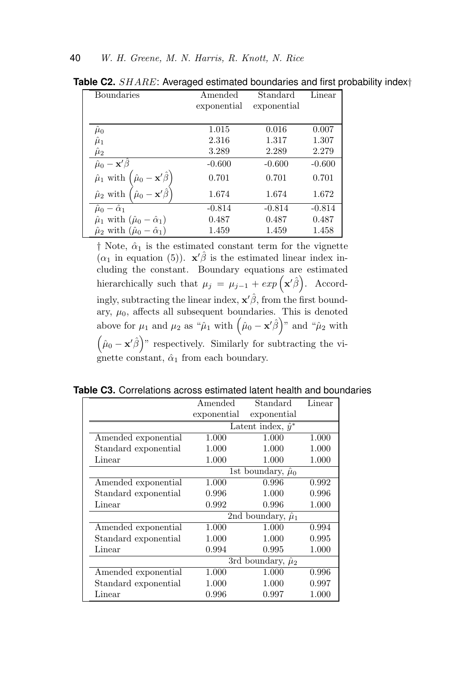| <b>Boundaries</b>                                                  | Amended     | Standard    | Linear   |
|--------------------------------------------------------------------|-------------|-------------|----------|
|                                                                    | exponential | exponential |          |
|                                                                    |             |             |          |
| $\mu_0$                                                            | 1.015       | 0.016       | 0.007    |
| $\hat{\mu}_1$                                                      | 2.316       | 1.317       | 1.307    |
| $\hat{\mu}_2$                                                      | 3.289       | 2.289       | 2.279    |
| $\hat{\mu}_0 - \mathbf{x}'\hat{\beta}$                             | $-0.600$    | $-0.600$    | $-0.600$ |
| $\hat{\mu}_0 - \mathbf{x}' \hat{\beta}^\top$<br>$\hat{\mu}_1$ with | 0.701       | 0.701       | 0.701    |
| $\hat{\mu}_0 - \mathbf{x}'\hat{\beta}$<br>$\hat{\mu}_2$ with       | 1.674       | 1.674       | 1.672    |
| $\hat{\mu}_0 - \hat{\alpha}_1$                                     | $-0.814$    | $-0.814$    | $-0.814$ |
| $\hat{\mu}_1$ with $(\hat{\mu}_0 - \hat{\alpha}_1)$                | 0.487       | 0.487       | 0.487    |
| $\hat{\mu}_2$ with $(\hat{\mu}_0 - \hat{\alpha}_1)$                | 1.459       | 1.459       | 1.458    |

**Table C2.** SHARE: Averaged estimated boundaries and first probability index†

 $\dagger$  Note,  $\hat{\alpha}_1$  is the estimated constant term for the vignette  $(\alpha_1$  in equation (5)).  $\mathbf{x}'\hat{\beta}$  is the estimated linear index including the constant. Boundary equations are estimated hierarchically such that  $\mu_j = \mu_{j-1} + exp(\mathbf{x}'\hat{\beta})$ . Accordingly, subtracting the linear index,  $\mathbf{x}'\hat{\beta}$ , from the first boundary,  $\mu_0$ , affects all subsequent boundaries. This is denoted above for  $\mu_1$  and  $\mu_2$  as " $\hat{\mu}_1$  with  $(\hat{\mu}_0 - \mathbf{x}'\hat{\beta})$ " and " $\hat{\mu}_2$  with  $(\hat{\mu}_0 - \mathbf{x}'\hat{\beta})$ " respectively. Similarly for subtracting the vignette constant,  $\hat{\alpha}_1$  from each boundary.

|                      | Amended                     | Standard                    | Linear    |  |  |  |
|----------------------|-----------------------------|-----------------------------|-----------|--|--|--|
|                      | exponential                 | exponential                 |           |  |  |  |
|                      |                             | Latent index, $\hat{y}^*$   |           |  |  |  |
| Amended exponential  | 1.000                       | 1.000                       | 1.000     |  |  |  |
| Standard exponential | 1.000                       | 1.000                       | 1.000     |  |  |  |
| Linear               | 1.000                       | 1.000                       | 1.000     |  |  |  |
|                      |                             | 1st boundary, $\hat{\mu}_0$ |           |  |  |  |
| Amended exponential  | 1.000                       | 0.996                       | 0.992     |  |  |  |
| Standard exponential | 0.996                       | 1.000                       | 0.996     |  |  |  |
| Linear               | 0.992                       | 0.996                       | 1.000     |  |  |  |
|                      |                             | 2nd boundary, $\hat{\mu}_1$ |           |  |  |  |
| Amended exponential  | 1.000                       | 1.000                       | 0.994     |  |  |  |
| Standard exponential | 1.000                       | 1.000                       | 0.995     |  |  |  |
| Linear               | 0.994                       | 0.995                       | 1.000     |  |  |  |
|                      | 3rd boundary, $\hat{\mu}_2$ |                             |           |  |  |  |
| Amended exponential  | 1.000                       | 1.000                       | 0.996     |  |  |  |
| Standard exponential | 1.000                       | 1.000                       | 0.997     |  |  |  |
| Linear               | 0.996                       | 0.997                       | $1.000\,$ |  |  |  |

**Table C3.** Correlations across estimated latent health and boundaries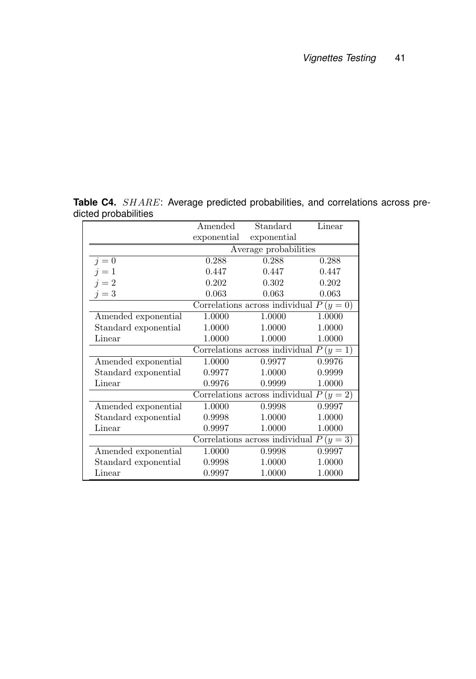**Table C4.** SHARE: Average predicted probabilities, and correlations across predicted probabilities

|                      | Amended          | Standard                                  | Linear |  |  |  |  |
|----------------------|------------------|-------------------------------------------|--------|--|--|--|--|
|                      | exponential      | exponential                               |        |  |  |  |  |
|                      |                  | Average probabilities                     |        |  |  |  |  |
| $i=0$                | 0.288            | 0.288                                     | 0.288  |  |  |  |  |
| $i=1$                | 0.447            | 0.447                                     | 0.447  |  |  |  |  |
| $i=2$                | 0.202            | 0.302                                     | 0.202  |  |  |  |  |
| $j=3$                | 0.063            | 0.063                                     | 0.063  |  |  |  |  |
|                      |                  | Correlations across individual $P(y=0)$   |        |  |  |  |  |
| Amended exponential  | 1.0000           | 1.0000                                    | 1.0000 |  |  |  |  |
| Standard exponential | 1.0000           | 1.0000                                    | 1.0000 |  |  |  |  |
| Linear               | 1.0000<br>1.0000 |                                           | 1.0000 |  |  |  |  |
|                      |                  | Correlations across individual $P(y = 1)$ |        |  |  |  |  |
| Amended exponential  | 1.0000           | 0.9977                                    | 0.9976 |  |  |  |  |
| Standard exponential | 0.9977           | 1.0000                                    | 0.9999 |  |  |  |  |
| Linear               | 0.9976           | 0.9999                                    | 1.0000 |  |  |  |  |
|                      |                  | Correlations across individual $P(y = 2)$ |        |  |  |  |  |
| Amended exponential  | 1.0000           | 0.9998                                    | 0.9997 |  |  |  |  |
| Standard exponential | 0.9998           | 1.0000                                    | 1.0000 |  |  |  |  |
| Linear               | 0.9997           | 1.0000                                    | 1.0000 |  |  |  |  |
|                      |                  | Correlations across individual $P(y = 3)$ |        |  |  |  |  |
| Amended exponential  | 1.0000           | 0.9998                                    | 0.9997 |  |  |  |  |
| Standard exponential | 0.9998           | 1.0000                                    | 1.0000 |  |  |  |  |
| Linear               | 0.9997           | 1.0000                                    | 1.0000 |  |  |  |  |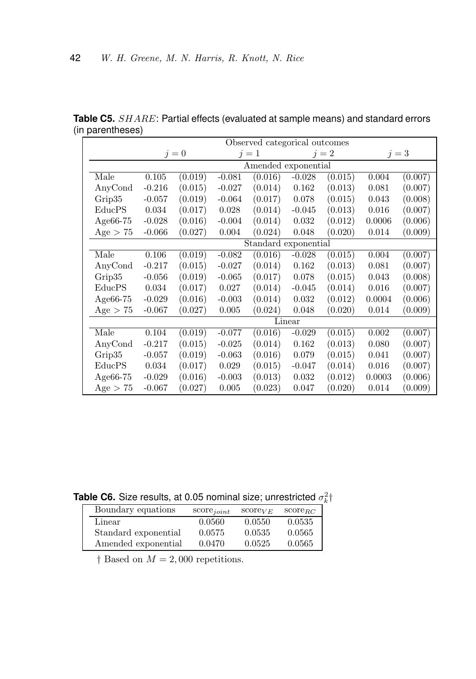|             | Observed categorical outcomes |         |          |                      |             |         |        |         |
|-------------|-------------------------------|---------|----------|----------------------|-------------|---------|--------|---------|
|             |                               | $i=0$   |          | $i=1$                |             | $i=2$   |        | $i=3$   |
|             |                               |         |          | Amended exponential  |             |         |        |         |
| Male        | 0.105                         | (0.019) | $-0.081$ | (0.016)              | $-0.028$    | (0.015) | 0.004  | (0.007) |
| AnyCond     | $-0.216$                      | (0.015) | $-0.027$ | (0.014)              | 0.162       | (0.013) | 0.081  | (0.007) |
| Grip35      | $-0.057$                      | (0.019) | $-0.064$ | (0.017)              | 0.078       | (0.015) | 0.043  | (0.008) |
| EducPS      | 0.034                         | (0.017) | 0.028    | (0.014)              | $-0.045$    | (0.013) | 0.016  | (0.007) |
| Age $66-75$ | $-0.028$                      | (0.016) | $-0.004$ | (0.014)              | 0.032       | (0.012) | 0.0006 | (0.006) |
| Age $> 75$  | $-0.066$                      | (0.027) | 0.004    | (0.024)              | 0.048       | (0.020) | 0.014  | (0.009) |
|             |                               |         |          | Standard exponential |             |         |        |         |
| Male        | 0.106                         | (0.019) | $-0.082$ | (0.016)              | $-0.028$    | (0.015) | 0.004  | (0.007) |
| AnyCond     | $-0.217$                      | (0.015) | $-0.027$ | (0.014)              | 0.162       | (0.013) | 0.081  | (0.007) |
| Grip35      | $-0.056$                      | (0.019) | $-0.065$ | (0.017)              | 0.078       | (0.015) | 0.043  | (0.008) |
| EducPS      | 0.034                         | (0.017) | 0.027    | (0.014)              | $-0.045$    | (0.014) | 0.016  | (0.007) |
| Age $66-75$ | $-0.029$                      | (0.016) | $-0.003$ | (0.014)              | 0.032       | (0.012) | 0.0004 | (0.006) |
| Age > 75    | $-0.067$                      | (0.027) | 0.005    | (0.024)              | 0.048       | (0.020) | 0.014  | (0.009) |
|             |                               |         |          |                      | Linear      |         |        |         |
| Male        | 0.104                         | (0.019) | $-0.077$ | (0.016)              | $-0.029$    | (0.015) | 0.002  | (0.007) |
| AnyCond     | $-0.217$                      | (0.015) | $-0.025$ | (0.014)              | $\,0.162\,$ | (0.013) | 0.080  | (0.007) |
| Grip35      | $-0.057$                      | (0.019) | $-0.063$ | (0.016)              | 0.079       | (0.015) | 0.041  | (0.007) |
| EducPS      | 0.034                         | (0.017) | 0.029    | (0.015)              | $-0.047$    | (0.014) | 0.016  | (0.007) |
| Age $66-75$ | $-0.029$                      | (0.016) | $-0.003$ | (0.013)              | 0.032       | (0.012) | 0.0003 | (0.006) |
| Age $> 75$  | $-0.067$                      | (0.027) | 0.005    | (0.023)              | 0.047       | (0.020) | 0.014  | (0.009) |

**Table C5.** SHARE: Partial effects (evaluated at sample means) and standard errors (in parentheses)

**Table C6.** Size results, at 0.05 nominal size; unrestricted  $\sigma_k^2$ †

| Boundary equations   | $score_{joint}$ | $score_{VE}$ | $score_{BC}$ |
|----------------------|-----------------|--------------|--------------|
| Linear               | 0.0560          | 0.0550       | 0.0535       |
| Standard exponential | 0.0575          | 0.0535       | 0.0565       |
| Amended exponential  | 0.0470          | 0.0525       | 0.0565       |

 $\dagger$  Based on  $M = 2,000$  repetitions.